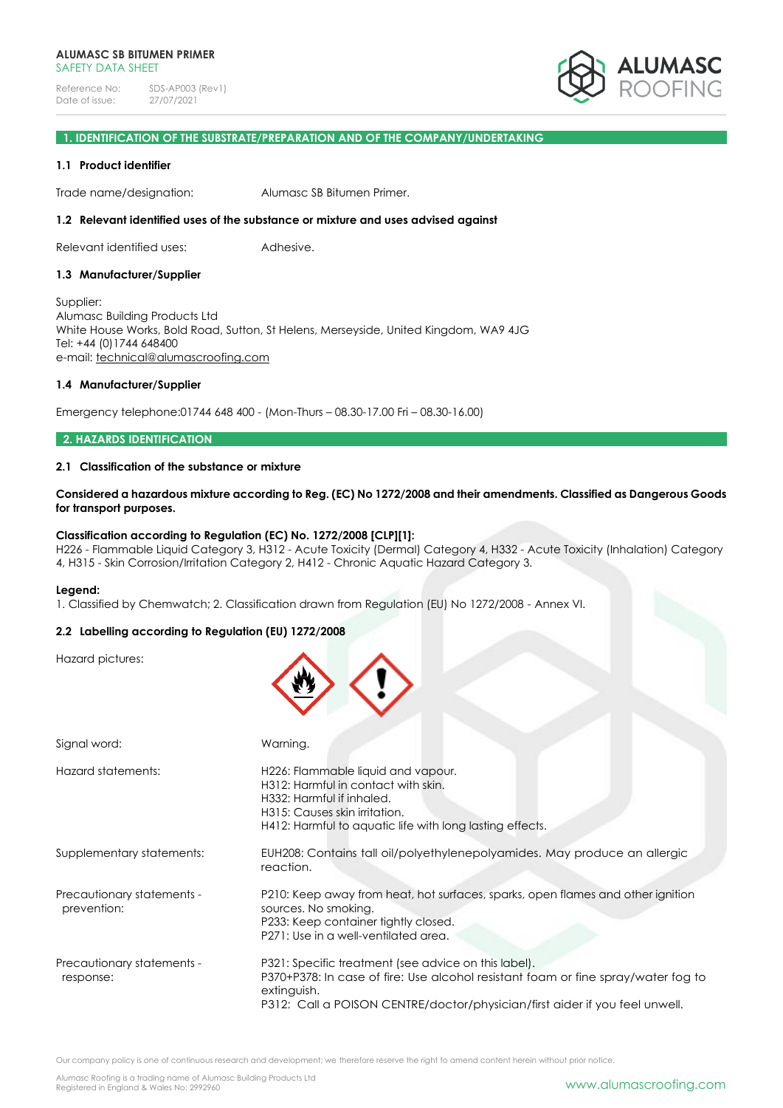

# **1. IDENTIFICATION OF THE SUBSTRATE/PREPARATION AND OF THE COMPANY/UNDERTAKING**

#### **1.1 Product identifier**

Trade name/designation: Alumasc SB Bitumen Primer.

#### **1.2 Relevant identified uses of the substance or mixture and uses advised against**

Relevant identified uses: Adhesive.

#### **1.3 Manufacturer/Supplier**

Supplier: Alumasc Building Products Ltd White House Works, Bold Road, Sutton, St Helens, Merseyside, United Kingdom, WA9 4JG Tel: +44 (0)1744 648400 e-mail: [technical@alumascroofing.com](mailto:technical@alumascroofing.com)

#### **1.4 Manufacturer/Supplier**

Emergency telephone:01744 648 400 - (Mon-Thurs – 08.30-17.00 Fri – 08.30-16.00)

#### **2. HAZARDS IDENTIFICATION**

# **2.1 Classification of the substance or mixture**

**Considered a hazardous mixture according to Reg. (EC) No 1272/2008 and their amendments. Classified as Dangerous Goods for transport purposes.**

#### **Classification according to Regulation (EC) No. 1272/2008 [CLP][1]:**

H226 - Flammable Liquid Category 3, H312 - Acute Toxicity (Dermal) Category 4, H332 - Acute Toxicity (Inhalation) Category 4, H315 - Skin Corrosion/Irritation Category 2, H412 - Chronic Aquatic Hazard Category 3.

#### **Legend:**

1. Classified by Chemwatch; 2. Classification drawn from Regulation (EU) No 1272/2008 - Annex VI.

#### **2.2 Labelling according to Regulation (EU) 1272/2008**

Hazard pictures:

| Signal word:                              | Warning.                                                                                                                                                                                                                                |
|-------------------------------------------|-----------------------------------------------------------------------------------------------------------------------------------------------------------------------------------------------------------------------------------------|
| Hazard statements:                        | H226: Flammable liquid and vapour.<br>H312: Harmful in contact with skin.<br>H332: Harmful if inhaled.<br>H315: Causes skin irritation.<br>H412: Harmful to aquatic life with long lasting effects.                                     |
| Supplementary statements:                 | EUH208: Contains tall oil/polyethylenepolyamides. May produce an allergic<br>reaction.                                                                                                                                                  |
| Precautionary statements -<br>prevention: | P210: Keep away from heat, hot surfaces, sparks, open flames and other ignition<br>sources. No smoking.<br>P233: Keep container tightly closed.<br>P271: Use in a well-ventilated area.                                                 |
| Precautionary statements -<br>response:   | P321: Specific treatment (see advice on this label).<br>P370+P378: In case of fire: Use alcohol resistant foam or fine spray/water fog to<br>extinguish.<br>P312: Call a POISON CENTRE/doctor/physician/first aider if you feel unwell. |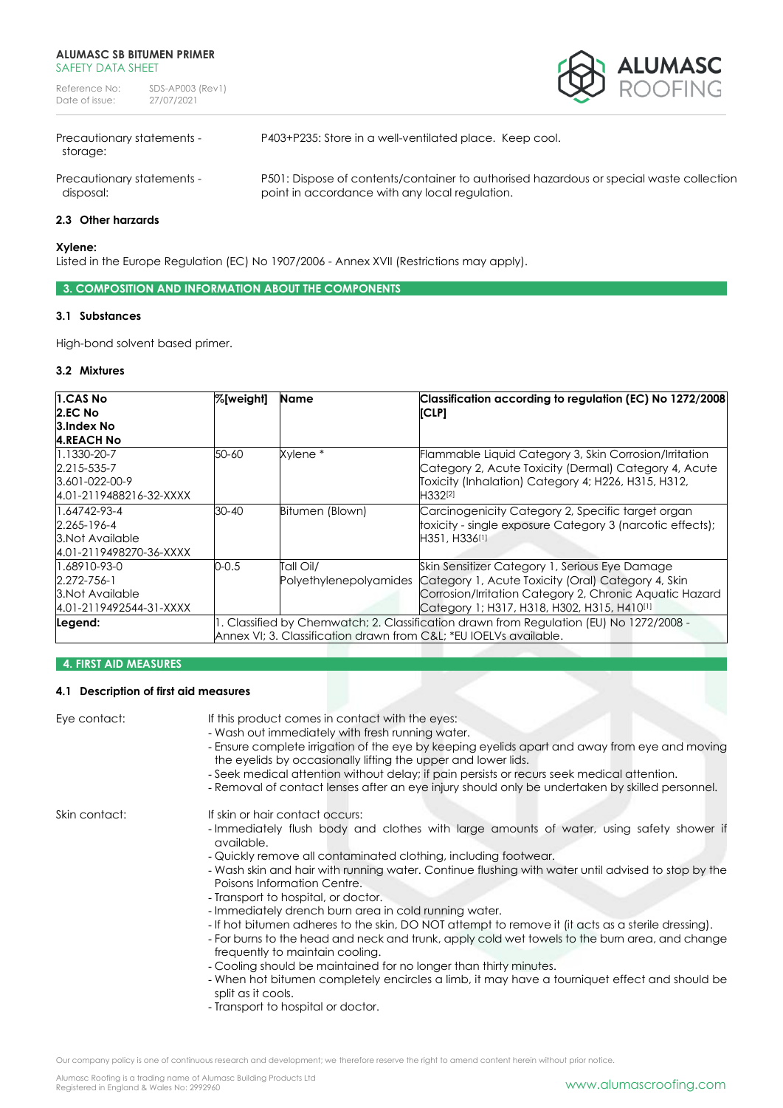Reference No: SDS-AP003 (Rev1)<br>Date of issue: 27/07/2021 Date of issue:



storage:

Precautionary statements - P403+P235: Store in a well-ventilated place. Keep cool.

Precautionary statements - P501: Dispose of contents/container to authorised hazardous or special waste collection disposal: **point in accordance with any local regulation.** 

# **2.3 Other harzards**

#### **Xylene:**

Listed in the Europe Regulation (EC) No 1907/2006 - Annex XVII (Restrictions may apply).

# **3. COMPOSITION AND INFORMATION ABOUT THE COMPONENTS**

# **3.1 Substances**

High-bond solvent based primer.

#### **3.2 Mixtures**

| 1.CAS No                | %[weight]                                                                               | Name                | Classification according to regulation (EC) No 1272/2008                  |
|-------------------------|-----------------------------------------------------------------------------------------|---------------------|---------------------------------------------------------------------------|
| 2.EC No                 |                                                                                         |                     | [CLP]                                                                     |
| 3.Index No              |                                                                                         |                     |                                                                           |
| <b>4.REACH No</b>       |                                                                                         |                     |                                                                           |
| 1.1330-20-7             | 50-60                                                                                   | Xylene <sup>*</sup> | Flammable Liquid Category 3, Skin Corrosion/Irritation                    |
| 2.215-535-7             |                                                                                         |                     | Category 2, Acute Toxicity (Dermal) Category 4, Acute                     |
| $3.601 - 022 - 00 - 9$  |                                                                                         |                     | Toxicity (Inhalation) Category 4; H226, H315, H312,                       |
| 4.01-2119488216-32-XXXX |                                                                                         |                     | H332[2]                                                                   |
| 1.64742-93-4            | 30-40                                                                                   | Bitumen (Blown)     | Carcinogenicity Category 2, Specific target organ                         |
| 2.265-196-4             |                                                                                         |                     | toxicity - single exposure Category 3 (narcotic effects);                 |
| 3. Not Available        |                                                                                         |                     | H351, H336[1]                                                             |
| 4.01-2119498270-36-XXXX |                                                                                         |                     |                                                                           |
| 1.68910-93-0            | 0-0.5                                                                                   | Tall Oil/           | Skin Sensitizer Category 1, Serious Eye Damage                            |
| 2.272-756-1             |                                                                                         |                     | Polyethylenepolyamides Category 1, Acute Toxicity (Oral) Category 4, Skin |
| 3. Not Available        |                                                                                         |                     | Corrosion/Irritation Category 2, Chronic Aquatic Hazard                   |
| 4.01-2119492544-31-XXXX |                                                                                         |                     | Category 1; H317, H318, H302, H315, H410[1]                               |
| Legend:                 | 1. Classified by Chemwatch; 2. Classification drawn from Regulation (EU) No 1272/2008 - |                     |                                                                           |
|                         | Annex VI: 3. Classification drawn from C&L: *EU IOELVs available.                       |                     |                                                                           |

# **4. FIRST AID MEASURES**

# **4.1 Description of first aid measures**

| Eye contact:  | If this product comes in contact with the eyes:<br>- Wash out immediately with fresh running water.<br>- Ensure complete irrigation of the eye by keeping eyelids apart and away from eye and moving<br>the eyelids by occasionally lifting the upper and lower lids.<br>- Seek medical attention without delay; if pain persists or recurs seek medical attention.<br>- Removal of contact lenses after an eye injury should only be undertaken by skilled personnel.                                                                                                                                                                                                                                                                                                                                                                                                                                                         |
|---------------|--------------------------------------------------------------------------------------------------------------------------------------------------------------------------------------------------------------------------------------------------------------------------------------------------------------------------------------------------------------------------------------------------------------------------------------------------------------------------------------------------------------------------------------------------------------------------------------------------------------------------------------------------------------------------------------------------------------------------------------------------------------------------------------------------------------------------------------------------------------------------------------------------------------------------------|
| Skin contact: | If skin or hair contact occurs:<br>- Immediately flush body and clothes with large amounts of water, using safety shower if<br>available.<br>- Quickly remove all contaminated clothing, including footwear.<br>- Wash skin and hair with running water. Continue flushing with water until advised to stop by the<br>Poisons Information Centre.<br>- Transport to hospital, or doctor.<br>- Immediately drench burn area in cold running water.<br>- If hot bitumen adheres to the skin, DO NOT attempt to remove it (it acts as a sterile dressing).<br>- For burns to the head and neck and trunk, apply cold wet towels to the burn area, and change<br>frequently to maintain cooling.<br>- Cooling should be maintained for no longer than thirty minutes.<br>- When hot bitumen completely encircles a limb, it may have a tourniquet effect and should be<br>split as it cools.<br>- Transport to hospital or doctor. |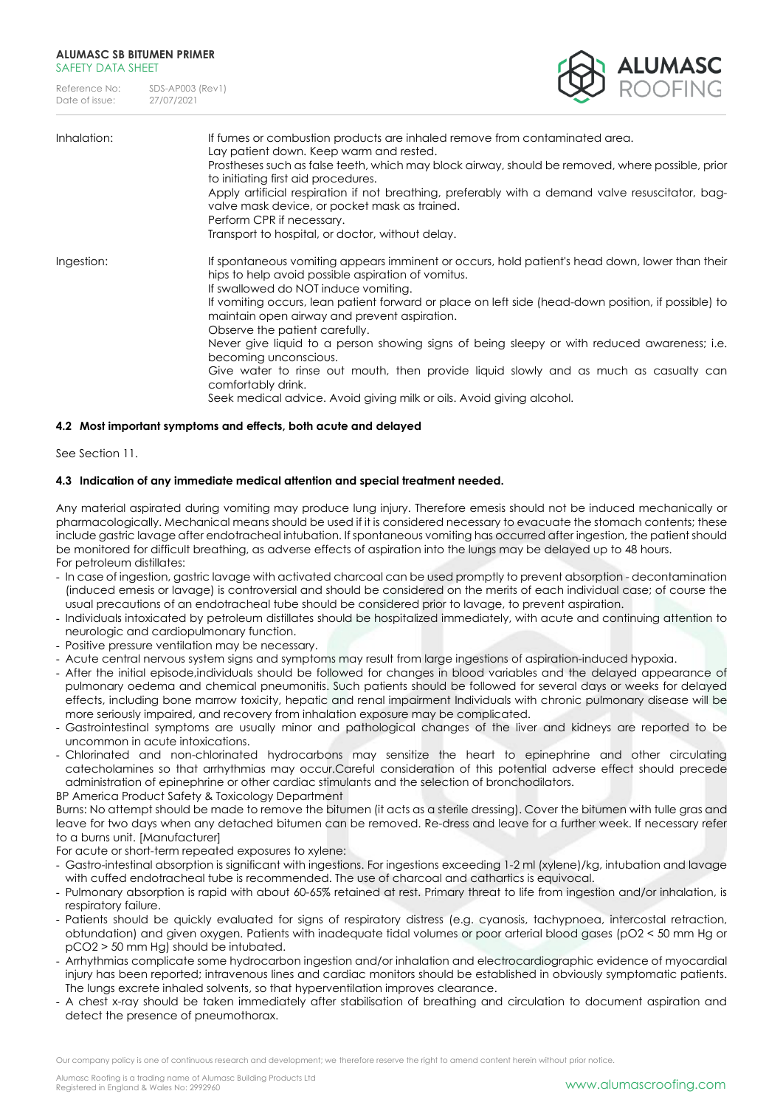| Reference No:  | SDS-AP003 (Rev1) |
|----------------|------------------|
| Date of issue: | 27/07/2021       |



| Inhalation: | If fumes or combustion products are inhaled remove from contaminated area.<br>Lay patient down. Keep warm and rested.<br>Prostheses such as false teeth, which may block airway, should be removed, where possible, prior<br>to initiating first aid procedures.<br>Apply artificial respiration if not breathing, preferably with a demand valve resuscitator, bag-<br>valve mask device, or pocket mask as trained.<br>Perform CPR if necessary.<br>Transport to hospital, or doctor, without delay.                                                                                                                                                                                                |
|-------------|-------------------------------------------------------------------------------------------------------------------------------------------------------------------------------------------------------------------------------------------------------------------------------------------------------------------------------------------------------------------------------------------------------------------------------------------------------------------------------------------------------------------------------------------------------------------------------------------------------------------------------------------------------------------------------------------------------|
| Ingestion:  | If spontaneous vomiting appears imminent or occurs, hold patient's head down, lower than their<br>hips to help avoid possible aspiration of vomitus.<br>If swallowed do NOT induce vomiting.<br>If vomiting occurs, lean patient forward or place on left side (head-down position, if possible) to<br>maintain open airway and prevent aspiration.<br>Observe the patient carefully.<br>Never give liquid to a person showing signs of being sleepy or with reduced awareness; i.e.<br>becoming unconscious.<br>Give water to rinse out mouth, then provide liquid slowly and as much as casualty can<br>comfortably drink.<br>Seek medical advice. Avoid giving milk or oils. Avoid giving alcohol. |

# **4.2 Most important symptoms and effects, both acute and delayed**

See Section 11.

# **4.3 Indication of any immediate medical attention and special treatment needed.**

Any material aspirated during vomiting may produce lung injury. Therefore emesis should not be induced mechanically or pharmacologically. Mechanical means should be used if it is considered necessary to evacuate the stomach contents; these include gastric lavage after endotracheal intubation. If spontaneous vomiting has occurred after ingestion, the patient should be monitored for difficult breathing, as adverse effects of aspiration into the lungs may be delayed up to 48 hours. For petroleum distillates:

- In case of ingestion, gastric lavage with activated charcoal can be used promptly to prevent absorption decontamination (induced emesis or lavage) is controversial and should be considered on the merits of each individual case; of course the usual precautions of an endotracheal tube should be considered prior to lavage, to prevent aspiration.
- Individuals intoxicated by petroleum distillates should be hospitalized immediately, with acute and continuing attention to neurologic and cardiopulmonary function.
- Positive pressure ventilation may be necessary.
- Acute central nervous system signs and symptoms may result from large ingestions of aspiration-induced hypoxia.
- After the initial episode,individuals should be followed for changes in blood variables and the delayed appearance of pulmonary oedema and chemical pneumonitis. Such patients should be followed for several days or weeks for delayed effects, including bone marrow toxicity, hepatic and renal impairment Individuals with chronic pulmonary disease will be more seriously impaired, and recovery from inhalation exposure may be complicated.
- Gastrointestinal symptoms are usually minor and pathological changes of the liver and kidneys are reported to be uncommon in acute intoxications.
- Chlorinated and non-chlorinated hydrocarbons may sensitize the heart to epinephrine and other circulating catecholamines so that arrhythmias may occur.Careful consideration of this potential adverse effect should precede administration of epinephrine or other cardiac stimulants and the selection of bronchodilators.

BP America Product Safety & Toxicology Department

Burns: No attempt should be made to remove the bitumen (it acts as a sterile dressing). Cover the bitumen with tulle gras and leave for two days when any detached bitumen can be removed. Re-dress and leave for a further week. If necessary refer to a burns unit. [Manufacturer]

For acute or short-term repeated exposures to xylene:

- Gastro-intestinal absorption is significant with ingestions. For ingestions exceeding 1-2 ml (xylene)/kg, intubation and lavage with cuffed endotracheal tube is recommended. The use of charcoal and cathartics is equivocal.
- Pulmonary absorption is rapid with about 60-65% retained at rest. Primary threat to life from ingestion and/or inhalation, is respiratory failure.
- Patients should be quickly evaluated for signs of respiratory distress (e.g. cyanosis, tachypnoea, intercostal retraction, obtundation) and given oxygen. Patients with inadequate tidal volumes or poor arterial blood gases (pO2 < 50 mm Hg or pCO2 > 50 mm Hg) should be intubated.
- Arrhythmias complicate some hydrocarbon ingestion and/or inhalation and electrocardiographic evidence of myocardial injury has been reported; intravenous lines and cardiac monitors should be established in obviously symptomatic patients. The lungs excrete inhaled solvents, so that hyperventilation improves clearance.
- A chest x-ray should be taken immediately after stabilisation of breathing and circulation to document aspiration and detect the presence of pneumothorax.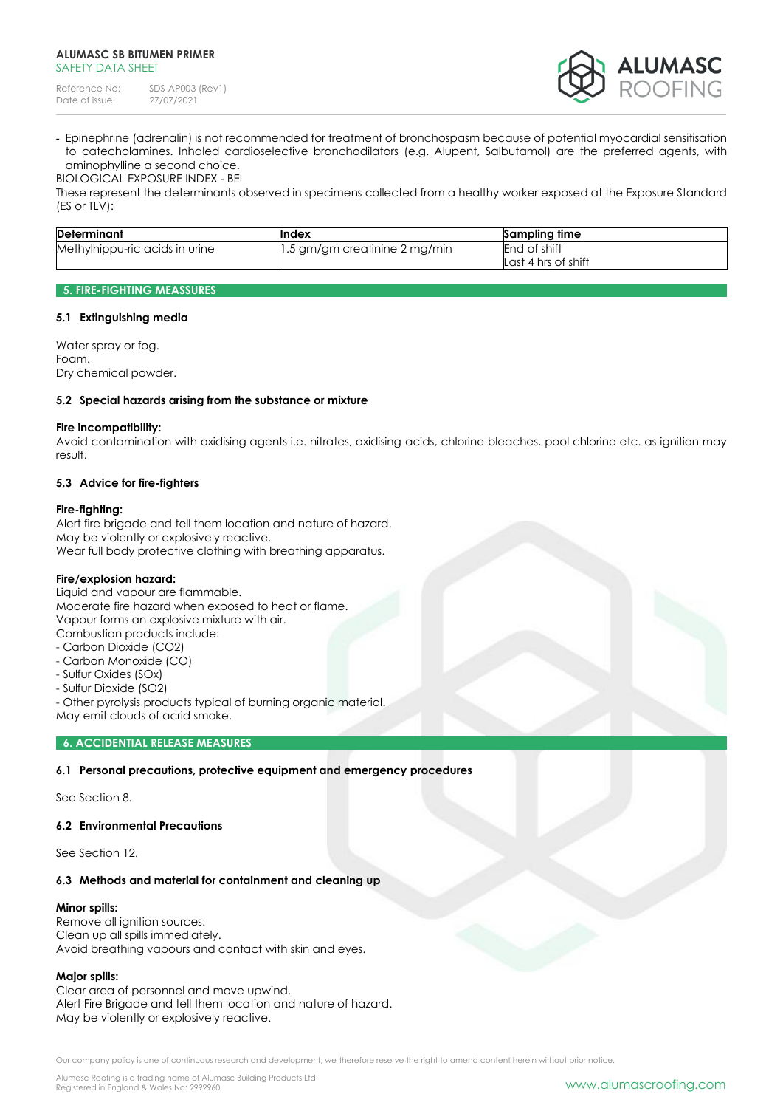| Reference No:  | SDS-AP003 (Rev1) |
|----------------|------------------|
| Date of issue: | 27/07/2021       |



- Epinephrine (adrenalin) is not recommended for treatment of bronchospasm because of potential myocardial sensitisation to catecholamines. Inhaled cardioselective bronchodilators (e.g. Alupent, Salbutamol) are the preferred agents, with aminophylline a second choice. BIOLOGICAL EXPOSURE INDEX - BEI

These represent the determinants observed in specimens collected from a healthy worker exposed at the Exposure Standard (ES or TLV):

| <b>Determinant</b>             | Index                         | Sampling time                       |
|--------------------------------|-------------------------------|-------------------------------------|
| Methylhippu-ric acids in urine | 1.5 gm/gm creatinine 2 mg/min | End of shift<br>Last 4 hrs of shift |

### **5. FIRE-FIGHTING MEASSURES**

#### **5.1 Extinguishing media**

Water spray or fog. Foam. Dry chemical powder.

#### **5.2 Special hazards arising from the substance or mixture**

#### **Fire incompatibility:**

Avoid contamination with oxidising agents i.e. nitrates, oxidising acids, chlorine bleaches, pool chlorine etc. as ignition may result.

#### **5.3 Advice for fire-fighters**

#### **Fire-fighting:**

Alert fire brigade and tell them location and nature of hazard. May be violently or explosively reactive. Wear full body protective clothing with breathing apparatus.

#### **Fire/explosion hazard:**

Liquid and vapour are flammable.

Moderate fire hazard when exposed to heat or flame. Vapour forms an explosive mixture with air. Combustion products include:

- Carbon Dioxide (CO2)
- Carbon Monoxide (CO)
- Sulfur Oxides (SOx)
- Sulfur Dioxide (SO2)
- Other pyrolysis products typical of burning organic material. May emit clouds of acrid smoke.

### **6. ACCIDENTIAL RELEASE MEASURES**

#### **6.1 Personal precautions, protective equipment and emergency procedures**

See Section 8.

#### **6.2 Environmental Precautions**

See Section 12.

#### **6.3 Methods and material for containment and cleaning up**

#### **Minor spills:**

Remove all ignition sources. Clean up all spills immediately. Avoid breathing vapours and contact with skin and eyes.

#### **Major spills:**

Clear area of personnel and move upwind. Alert Fire Brigade and tell them location and nature of hazard. May be violently or explosively reactive.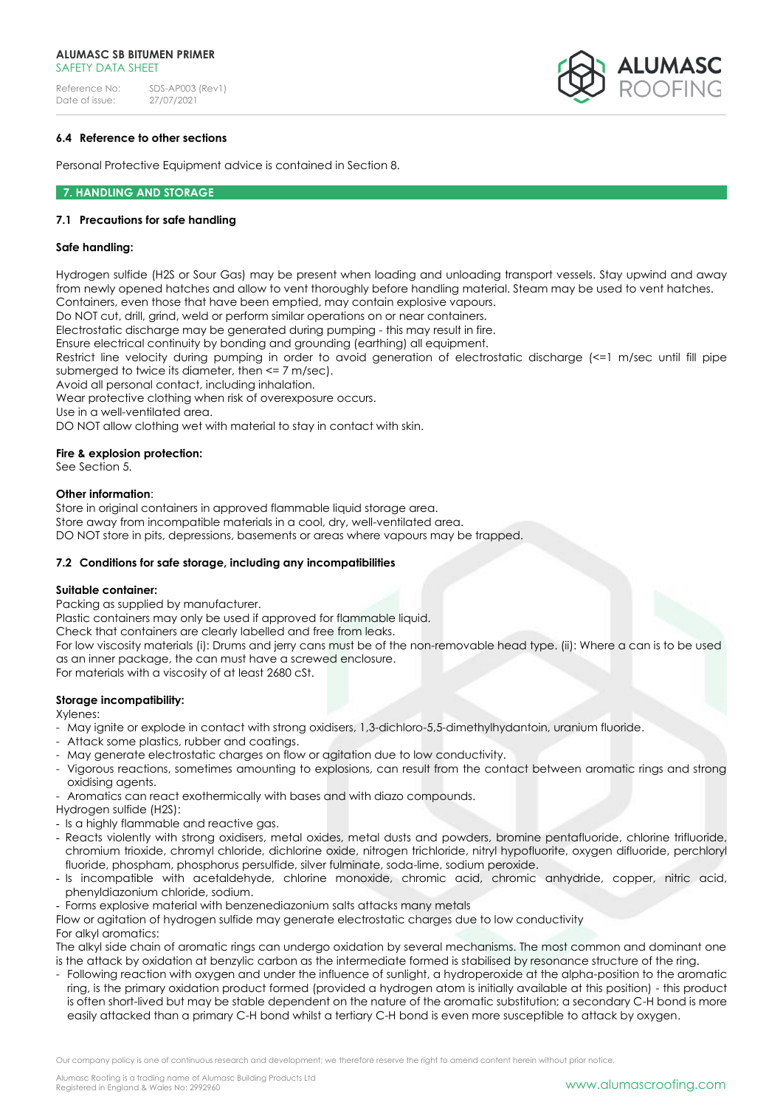Reference No: SDS-AP003 (Rev1)<br>Date of issue: 27/07/2021 Date of issue: 27/07/2021



# **6.4 Reference to other sections**

Personal Protective Equipment advice is contained in Section 8.

#### **7. HANDLING AND STORAGE**

#### **7.1 Precautions for safe handling**

#### **Safe handling:**

Hydrogen sulfide (H2S or Sour Gas) may be present when loading and unloading transport vessels. Stay upwind and away from newly opened hatches and allow to vent thoroughly before handling material. Steam may be used to vent hatches. Containers, even those that have been emptied, may contain explosive vapours.

Do NOT cut, drill, grind, weld or perform similar operations on or near containers.

Electrostatic discharge may be generated during pumping - this may result in fire.

Ensure electrical continuity by bonding and grounding (earthing) all equipment.

Restrict line velocity during pumping in order to avoid generation of electrostatic discharge (<=1 m/sec until fill pipe submerged to twice its diameter, then <= 7 m/sec).

Avoid all personal contact, including inhalation.

Wear protective clothing when risk of overexposure occurs.

Use in a well-ventilated area.

DO NOT allow clothing wet with material to stay in contact with skin.

#### **Fire & explosion protection:**

See Section 5.

#### **Other information**:

Store in original containers in approved flammable liquid storage area. Store away from incompatible materials in a cool, dry, well-ventilated area. DO NOT store in pits, depressions, basements or areas where vapours may be trapped.

#### **7.2 Conditions for safe storage, including any incompatibilities**

#### **Suitable container:**

Packing as supplied by manufacturer.

Plastic containers may only be used if approved for flammable liquid.

Check that containers are clearly labelled and free from leaks.

For low viscosity materials (i): Drums and jerry cans must be of the non-removable head type. (ii): Where a can is to be used as an inner package, the can must have a screwed enclosure.

For materials with a viscosity of at least 2680 cSt.

#### **Storage incompatibility:**

Xylenes:

- May ignite or explode in contact with strong oxidisers, 1,3-dichloro-5,5-dimethylhydantoin, uranium fluoride.
- Attack some plastics, rubber and coatings.
- May generate electrostatic charges on flow or agitation due to low conductivity.
- Vigorous reactions, sometimes amounting to explosions, can result from the contact between aromatic rings and strong oxidising agents.
- Aromatics can react exothermically with bases and with diazo compounds.
- Hydrogen sulfide (H2S):
- Is a highly flammable and reactive gas.
- Reacts violently with strong oxidisers, metal oxides, metal dusts and powders, bromine pentafluoride, chlorine trifluoride, chromium trioxide, chromyl chloride, dichlorine oxide, nitrogen trichloride, nitryl hypofluorite, oxygen difluoride, perchloryl fluoride, phospham, phosphorus persulfide, silver fulminate, soda-lime, sodium peroxide.
- Is incompatible with acetaldehyde, chlorine monoxide, chromic acid, chromic anhydride, copper, nitric acid, phenyldiazonium chloride, sodium.
- Forms explosive material with benzenediazonium salts attacks many metals

Flow or agitation of hydrogen sulfide may generate electrostatic charges due to low conductivity For alkyl aromatics:

The alkyl side chain of aromatic rings can undergo oxidation by several mechanisms. The most common and dominant one is the attack by oxidation at benzylic carbon as the intermediate formed is stabilised by resonance structure of the ring.

- Following reaction with oxygen and under the influence of sunlight, a hydroperoxide at the alpha-position to the aromatic ring, is the primary oxidation product formed (provided a hydrogen atom is initially available at this position) - this product is often short-lived but may be stable dependent on the nature of the aromatic substitution; a secondary C-H bond is more easily attacked than a primary C-H bond whilst a tertiary C-H bond is even more susceptible to attack by oxygen.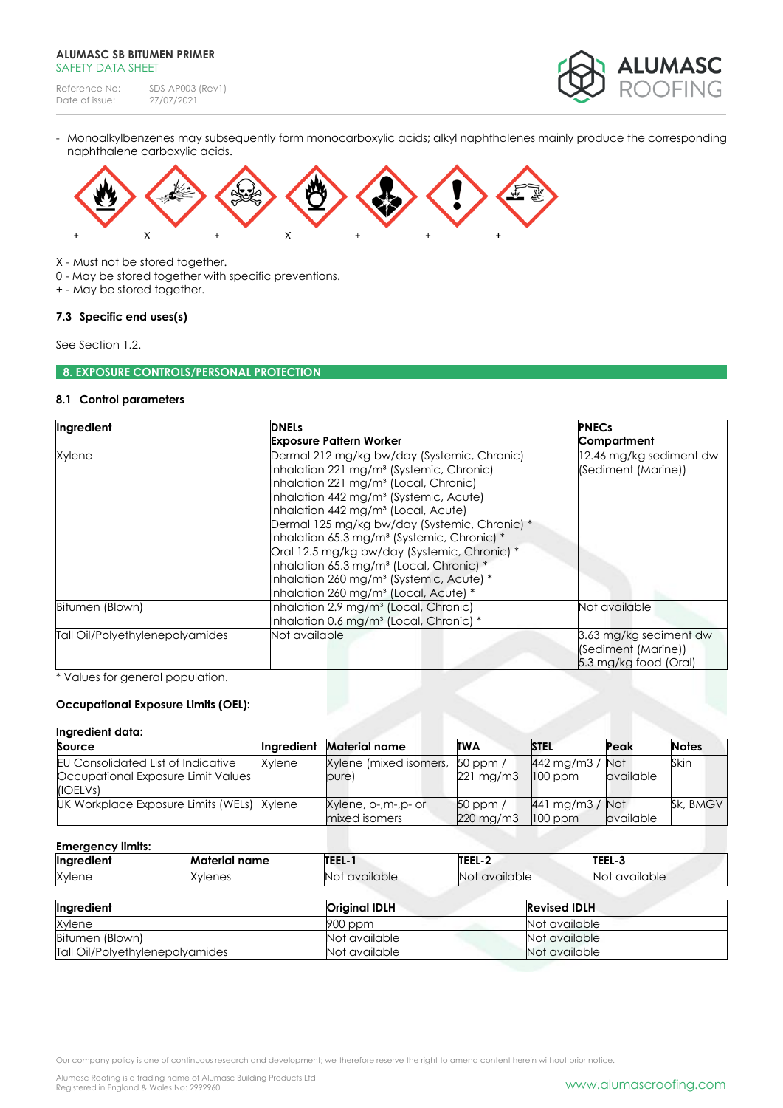Reference No: SDS-AP003 (Rev1)<br>Date of issue: 27/07/2021 Date of issue:



- Monoalkylbenzenes may subsequently form monocarboxylic acids; alkyl naphthalenes mainly produce the corresponding naphthalene carboxylic acids.



X - Must not be stored together.

0 - May be stored together with specific preventions.

+ - May be stored together.

# **7.3 Specific end uses(s)**

See Section 1.2.

# **8. EXPOSURE CONTROLS/PERSONAL PROTECTION**

# **8.1 Control parameters**

| Ingredient                      | <b>DNELs</b>                                                                                                                                                                                                                                                                                                                                                                                                                                                                                                                                                                                       | <b>PNECs</b>                                                           |  |
|---------------------------------|----------------------------------------------------------------------------------------------------------------------------------------------------------------------------------------------------------------------------------------------------------------------------------------------------------------------------------------------------------------------------------------------------------------------------------------------------------------------------------------------------------------------------------------------------------------------------------------------------|------------------------------------------------------------------------|--|
|                                 | <b>Exposure Pattern Worker</b>                                                                                                                                                                                                                                                                                                                                                                                                                                                                                                                                                                     | Compartment                                                            |  |
| Xylene                          | Dermal 212 mg/kg bw/day (Systemic, Chronic)<br>Inhalation 221 mg/m <sup>3</sup> (Systemic, Chronic)<br>Inhalation 221 mg/m <sup>3</sup> (Local, Chronic)<br>Inhalation 442 mg/m <sup>3</sup> (Systemic, Acute)<br>Inhalation 442 mg/m <sup>3</sup> (Local, Acute)<br>Dermal 125 mg/kg bw/day (Systemic, Chronic) *<br>Inhalation 65.3 mg/m <sup>3</sup> (Systemic, Chronic) *<br>Oral 12.5 mg/kg bw/day (Systemic, Chronic) *<br>Inhalation 65.3 mg/m <sup>3</sup> (Local, Chronic) *<br>Inhalation 260 mg/m <sup>3</sup> (Systemic, Acute) *<br>Inhalation 260 mg/m <sup>3</sup> (Local, Acute) * | 12.46 mg/kg sediment dw<br>(Sediment (Marine))                         |  |
| Bitumen (Blown)                 | Inhalation 2.9 mg/m <sup>3</sup> (Local, Chronic)<br>Inhalation 0.6 mg/m <sup>3</sup> (Local, Chronic) *                                                                                                                                                                                                                                                                                                                                                                                                                                                                                           | Not available                                                          |  |
| Tall Oil/Polyethylenepolyamides | Not available                                                                                                                                                                                                                                                                                                                                                                                                                                                                                                                                                                                      | 3.63 mg/kg sediment dw<br>(Sediment (Marine))<br>5.3 mg/kg food (Oral) |  |

\* Values for general population.

# **Occupational Exposure Limits (OEL):**

### **Ingredient data:**

| Source                                                                                      | Inaredient | Material name                            | <b>TWA</b>                       | <b>STEL</b>                       | Peak                    | <b>Notes</b> |
|---------------------------------------------------------------------------------------------|------------|------------------------------------------|----------------------------------|-----------------------------------|-------------------------|--------------|
| <b>EU Consolidated List of Indicative</b><br>Occupational Exposure Limit Values<br>(IOELVs) | Xvlene     | Xylene (mixed isomers, 50 ppm /<br>pure) | $221 \text{ mg/m}$               | $442$ mg/m $3$<br>$100$ ppm       | Not<br>available        | Skin         |
| UK Workplace Exposure Limits (WELs)                                                         | Xvlene     | Xylene, o-,m-,p- or<br>mixed isomers     | $50$ ppm /<br>$220 \text{ mg/m}$ | $441$ mg/m $3$ / Not<br>$100$ ppm | <i><b>available</b></i> | Sk, BMGV     |

#### **Emergency limits:**

| <br><b>Ingredient</b> | Material name | TEEL-1           | TEEL-2               | TEEL-3           |
|-----------------------|---------------|------------------|----------------------|------------------|
| Xvlene                | Xvlenes       | available<br>'NO | <b>Not available</b> | available<br>NC. |
|                       |               |                  |                      |                  |

| Ingredient                      | <b>Original IDLH</b> | <b>Revised IDLH</b> |
|---------------------------------|----------------------|---------------------|
| Xylene                          | $900$ ppm            | Not available       |
| Bitumen (Blown)                 | Not available        | Not available       |
| Tall Oil/Polyethylenepolyamides | Not available        | Not available       |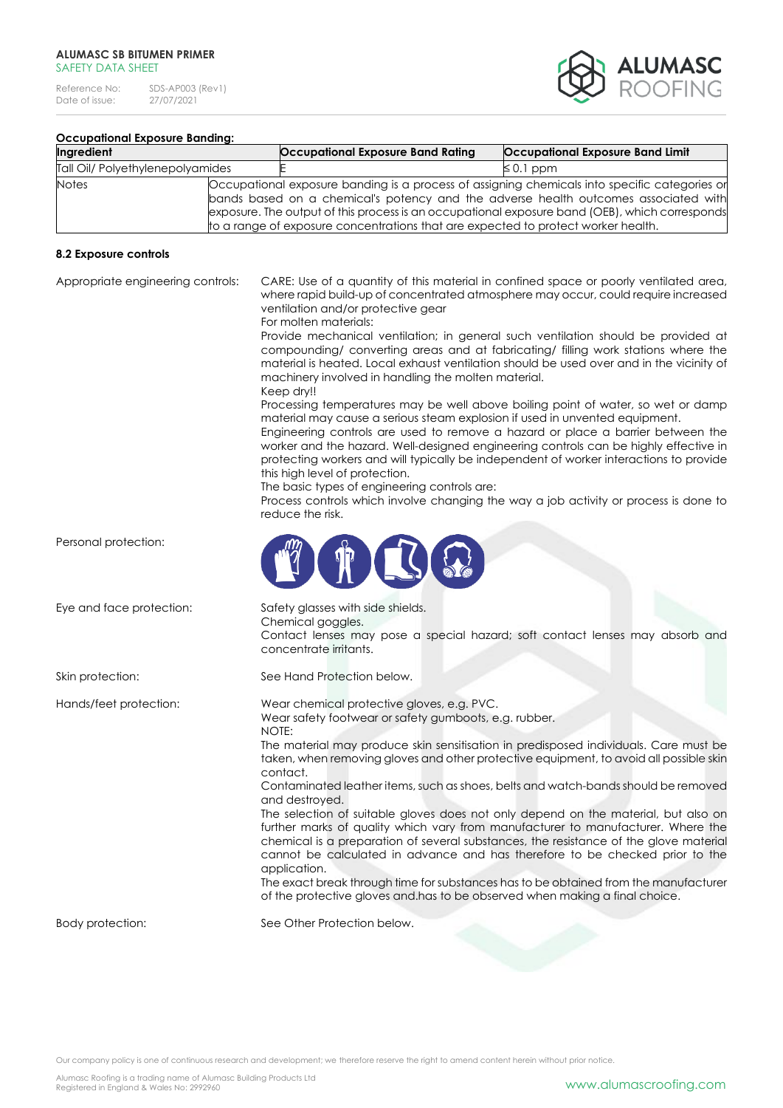Reference No: SDS-AP003 (Rev1)<br>Date of issue: 27/07/2021 Date of issue:



# **Occupational Exposure Banding:**

| Ingredient                       | Occupational Exposure Band Rating                                                 | Occupational Exposure Band Limit                                                                                                                                                                                                                                                       |
|----------------------------------|-----------------------------------------------------------------------------------|----------------------------------------------------------------------------------------------------------------------------------------------------------------------------------------------------------------------------------------------------------------------------------------|
| Tall Oil/ Polyethylenepolyamides | $\leq 0.1$ ppm                                                                    |                                                                                                                                                                                                                                                                                        |
| <b>Notes</b>                     | to a range of exposure concentrations that are expected to protect worker health. | Occupational exposure banding is a process of assigning chemicals into specific categories or<br>bands based on a chemical's potency and the adverse health outcomes associated with<br>exposure. The output of this process is an occupational exposure band (OEB), which corresponds |

# **8.2 Exposure controls**

| Appropriate engineering controls: | CARE: Use of a quantity of this material in confined space or poorly ventilated area,<br>where rapid build-up of concentrated atmosphere may occur, could require increased<br>ventilation and/or protective gear<br>For molten materials:<br>Provide mechanical ventilation; in general such ventilation should be provided at<br>compounding/ converting areas and at fabricating/ filling work stations where the<br>material is heated. Local exhaust ventilation should be used over and in the vicinity of<br>machinery involved in handling the molten material.<br>Keep dry!!<br>Processing temperatures may be well above boiling point of water, so wet or damp<br>material may cause a serious steam explosion if used in unvented equipment.<br>Engineering controls are used to remove a hazard or place a barrier between the<br>worker and the hazard. Well-designed engineering controls can be highly effective in<br>protecting workers and will typically be independent of worker interactions to provide<br>this high level of protection.<br>The basic types of engineering controls are:<br>Process controls which involve changing the way a job activity or process is done to<br>reduce the risk. |
|-----------------------------------|-----------------------------------------------------------------------------------------------------------------------------------------------------------------------------------------------------------------------------------------------------------------------------------------------------------------------------------------------------------------------------------------------------------------------------------------------------------------------------------------------------------------------------------------------------------------------------------------------------------------------------------------------------------------------------------------------------------------------------------------------------------------------------------------------------------------------------------------------------------------------------------------------------------------------------------------------------------------------------------------------------------------------------------------------------------------------------------------------------------------------------------------------------------------------------------------------------------------------------|
| Personal protection:              |                                                                                                                                                                                                                                                                                                                                                                                                                                                                                                                                                                                                                                                                                                                                                                                                                                                                                                                                                                                                                                                                                                                                                                                                                             |
| Eye and face protection:          | Safety glasses with side shields.<br>Chemical goggles.<br>Contact lenses may pose a special hazard; soft contact lenses may absorb and<br>concentrate irritants.                                                                                                                                                                                                                                                                                                                                                                                                                                                                                                                                                                                                                                                                                                                                                                                                                                                                                                                                                                                                                                                            |
| Skin protection:                  | See Hand Protection below.                                                                                                                                                                                                                                                                                                                                                                                                                                                                                                                                                                                                                                                                                                                                                                                                                                                                                                                                                                                                                                                                                                                                                                                                  |
| Hands/feet protection:            | Wear chemical protective gloves, e.g. PVC.<br>Wear safety footwear or safety gumboots, e.g. rubber.<br>NOTE:<br>The material may produce skin sensitisation in predisposed individuals. Care must be<br>taken, when removing gloves and other protective equipment, to avoid all possible skin<br>contact.<br>Contaminated leather items, such as shoes, belts and watch-bands should be removed<br>and destroyed.<br>The selection of suitable gloves does not only depend on the material, but also on<br>further marks of quality which vary from manufacturer to manufacturer. Where the<br>chemical is a preparation of several substances, the resistance of the glove material<br>cannot be calculated in advance and has therefore to be checked prior to the<br>application.<br>The exact break through time for substances has to be obtained from the manufacturer<br>of the protective gloves and has to be observed when making a final choice.                                                                                                                                                                                                                                                                |
| Body protection:                  | See Other Protection below.                                                                                                                                                                                                                                                                                                                                                                                                                                                                                                                                                                                                                                                                                                                                                                                                                                                                                                                                                                                                                                                                                                                                                                                                 |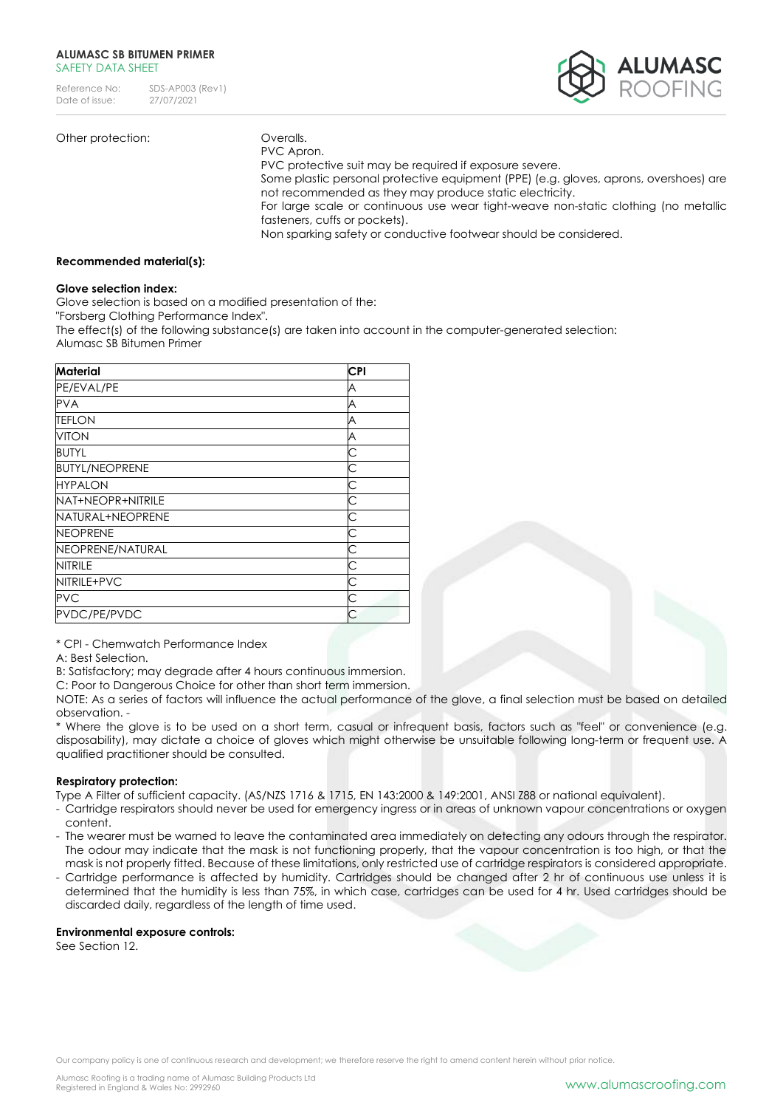

# Other protection: **Overalls**.

PVC Apron.

PVC protective suit may be required if exposure severe. Some plastic personal protective equipment (PPE) (e.g. gloves, aprons, overshoes) are not recommended as they may produce static electricity. For large scale or continuous use wear tight-weave non-static clothing (no metallic fasteners, cuffs or pockets).

Non sparking safety or conductive footwear should be considered.

#### **Recommended material(s):**

#### **Glove selection index:**

Glove selection is based on a modified presentation of the:

"Forsberg Clothing Performance Index".

The effect(s) of the following substance(s) are taken into account in the computer-generated selection: Alumasc SB Bitumen Primer

| Material              | <b>CPI</b> |
|-----------------------|------------|
| PE/EVAL/PE            | A          |
| <b>PVA</b>            | A          |
| TEFLON                | A          |
| <b>VITON</b>          | A          |
| <b>BUTYL</b>          |            |
| <b>BUTYL/NEOPRENE</b> | С          |
| <b>HYPALON</b>        | C          |
| NAT+NEOPR+NITRILE     | C          |
| NATURAL+NEOPRENE      |            |
| <b>NEOPRENE</b>       | C          |
| NEOPRENE/NATURAL      | C          |
| <b>NITRILE</b>        |            |
| NITRILE+PVC           | C          |
| <b>PVC</b>            | С          |
| PVDC/PE/PVDC          |            |

\* CPI - Chemwatch Performance Index

A: Best Selection.

B: Satisfactory; may degrade after 4 hours continuous immersion.

C: Poor to Dangerous Choice for other than short term immersion.

NOTE: As a series of factors will influence the actual performance of the glove, a final selection must be based on detailed observation. -

\* Where the glove is to be used on a short term, casual or infrequent basis, factors such as "feel" or convenience (e.g. disposability), may dictate a choice of gloves which might otherwise be unsuitable following long-term or frequent use. A qualified practitioner should be consulted.

#### **Respiratory protection:**

Type A Filter of sufficient capacity. (AS/NZS 1716 & 1715, EN 143:2000 & 149:2001, ANSI Z88 or national equivalent).

- Cartridge respirators should never be used for emergency ingress or in areas of unknown vapour concentrations or oxygen content.
- The wearer must be warned to leave the contaminated area immediately on detecting any odours through the respirator. The odour may indicate that the mask is not functioning properly, that the vapour concentration is too high, or that the mask is not properly fitted. Because of these limitations, only restricted use of cartridge respirators is considered appropriate.
- Cartridge performance is affected by humidity. Cartridges should be changed after 2 hr of continuous use unless it is determined that the humidity is less than 75%, in which case, cartridges can be used for 4 hr. Used cartridges should be discarded daily, regardless of the length of time used.

#### **Environmental exposure controls:**

See Section 12.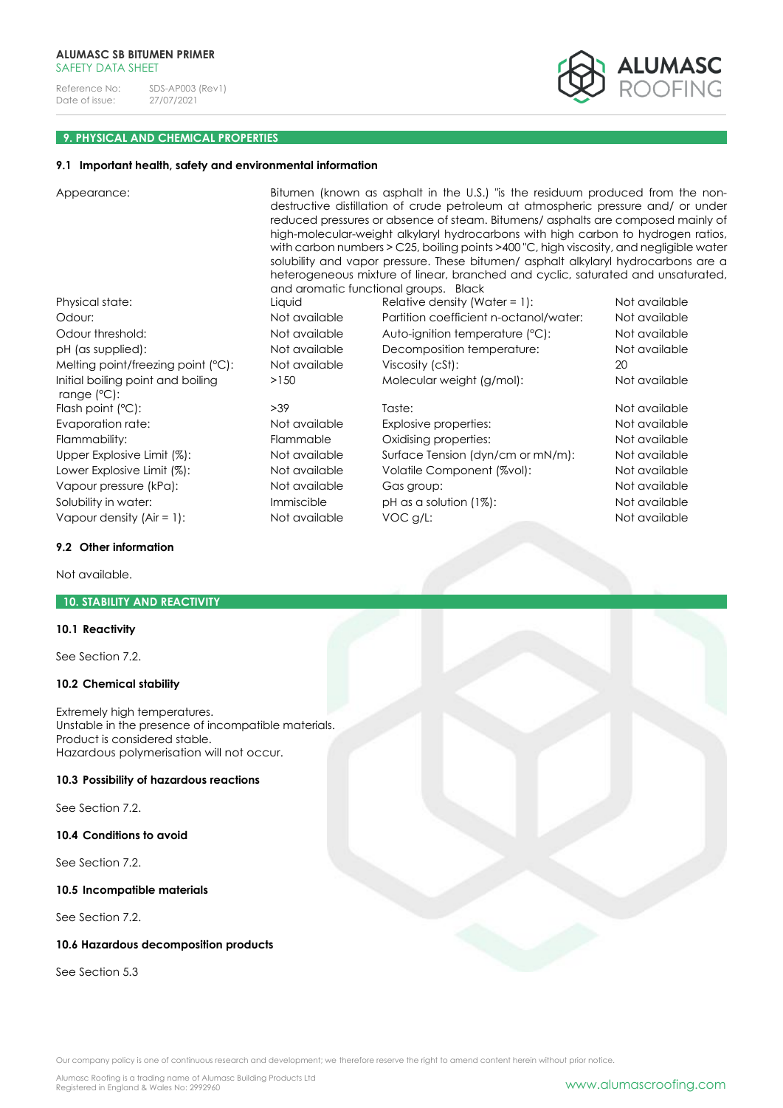

### **9. PHYSICAL AND CHEMICAL PROPERTIES**

#### **9.1 Important health, safety and environmental information**

Appearance: Bitumen (known as asphalt in the U.S.) "is the residuum produced from the nondestructive distillation of crude petroleum at atmospheric pressure and/ or under reduced pressures or absence of steam. Bitumens/ asphalts are composed mainly of high-molecular-weight alkylaryl hydrocarbons with high carbon to hydrogen ratios, with carbon numbers > C25, boiling points >400 "C, high viscosity, and negligible water solubility and vapor pressure. These bitumen/ asphalt alkylaryl hydrocarbons are a heterogeneous mixture of linear, branched and cyclic, saturated and unsaturated, and aromatic functional groups. Black

Initial boiling point and boiling range (°C): Flash point (°C):  $>39$  Taste:  $\overline{a}$  Taste: Not available Evaporation rate: Not available Explosive properties: Not available Flammability: Flammable Oxidising properties: Not available Upper Explosive Limit (%): Not available Surface Tension (dyn/cm or mN/m): Not available Lower Explosive Limit (%): Not available Volatile Component (%vol): Not available Vapour pressure (kPa): Not available Gas group: Not available Solubility in water: **Immiscible** pH as a solution (1%): Not available pH as a solution (1%): Vapour density (Air = 1): Not available VOC g/L: Not available VOC g/L:

Physical state: The Liquid Relative density (Water = 1): Not available Odour: Not available Partition coefficient n-octanol/water: Not available Odour threshold: Not available Auto-ignition temperature (°C): Not available pH (as supplied): Not available Decomposition temperature: Not available Melting point/freezing point (°C): Not available Viscosity (cSt): 20 >150 Molecular weight (g/mol): Not available

#### **9.2 Other information**

Not available.

#### **10. STABILITY AND REACTIVITY**

# **10.1 Reactivity**

See Section 7.2.

# **10.2 Chemical stability**

Extremely high temperatures. Unstable in the presence of incompatible materials. Product is considered stable. Hazardous polymerisation will not occur.

#### **10.3 Possibility of hazardous reactions**

See Section 7.2.

**10.4 Conditions to avoid**

See Section 7.2.

#### **10.5 Incompatible materials**

See Section 7.2.

#### **10.6 Hazardous decomposition products**

See Section 5.3

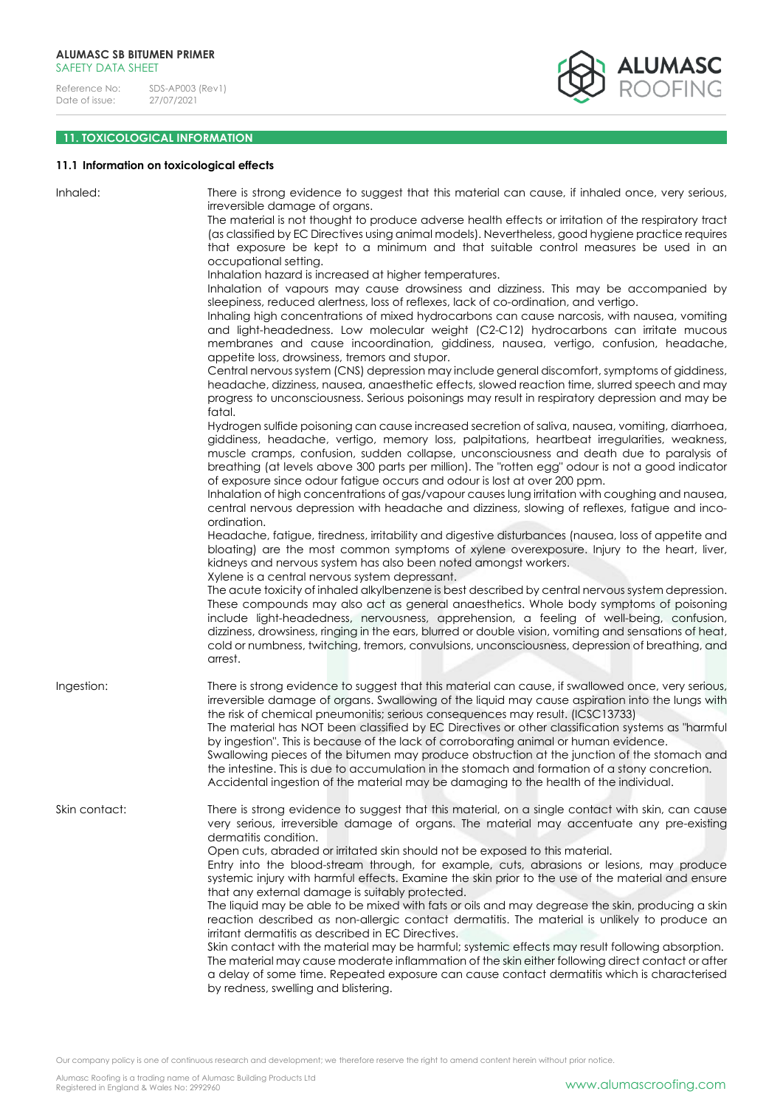

# **11. TOXICOLOGICAL INFORMATION**

# **11.1 Information on toxicological effects**

| Inhaled:      | There is strong evidence to suggest that this material can cause, if inhaled once, very serious,<br>irreversible damage of organs.<br>The material is not thought to produce adverse health effects or irritation of the respiratory tract<br>(as classified by EC Directives using animal models). Nevertheless, good hygiene practice requires<br>that exposure be kept to a minimum and that suitable control measures be used in an<br>occupational setting.                                                                                                                                                                                                                                                                                                                                                                                              |
|---------------|---------------------------------------------------------------------------------------------------------------------------------------------------------------------------------------------------------------------------------------------------------------------------------------------------------------------------------------------------------------------------------------------------------------------------------------------------------------------------------------------------------------------------------------------------------------------------------------------------------------------------------------------------------------------------------------------------------------------------------------------------------------------------------------------------------------------------------------------------------------|
|               | Inhalation hazard is increased at higher temperatures.<br>Inhalation of vapours may cause drowsiness and dizziness. This may be accompanied by<br>sleepiness, reduced alertness, loss of reflexes, lack of co-ordination, and vertigo.<br>Inhaling high concentrations of mixed hydrocarbons can cause narcosis, with nausea, vomiting<br>and light-headedness. Low molecular weight (C2-C12) hydrocarbons can irritate mucous<br>membranes and cause incoordination, giddiness, nausea, vertigo, confusion, headache,                                                                                                                                                                                                                                                                                                                                        |
|               | appetite loss, drowsiness, tremors and stupor.<br>Central nervous system (CNS) depression may include general discomfort, symptoms of giddiness,<br>headache, dizziness, nausea, anaesthetic effects, slowed reaction time, slurred speech and may<br>progress to unconsciousness. Serious poisonings may result in respiratory depression and may be<br>fatal.                                                                                                                                                                                                                                                                                                                                                                                                                                                                                               |
|               | Hydrogen sulfide poisoning can cause increased secretion of saliva, nausea, vomiting, diarrhoea,<br>giddiness, headache, vertigo, memory loss, palpitations, heartbeat irregularities, weakness,<br>muscle cramps, confusion, sudden collapse, unconsciousness and death due to paralysis of<br>breathing (at levels above 300 parts per million). The "rotten egg" odour is not a good indicator<br>of exposure since odour fatigue occurs and odour is lost at over 200 ppm.<br>Inhalation of high concentrations of gas/vapour causes lung irritation with coughing and nausea,<br>central nervous depression with headache and dizziness, slowing of reflexes, fatigue and inco-<br>ordination.                                                                                                                                                           |
|               | Headache, fatigue, tiredness, irritability and digestive disturbances (nausea, loss of appetite and<br>bloating) are the most common symptoms of xylene overexposure. Injury to the heart, liver,<br>kidneys and nervous system has also been noted amongst workers.<br>Xylene is a central nervous system depressant.<br>The acute toxicity of inhaled alkylbenzene is best described by central nervous system depression.                                                                                                                                                                                                                                                                                                                                                                                                                                  |
|               | These compounds may also act as general anaesthetics. Whole body symptoms of poisoning<br>include light-headedness, nervousness, apprehension, a feeling of well-being, confusion,<br>dizziness, drowsiness, ringing in the ears, blurred or double vision, vomiting and sensations of heat,<br>cold or numbness, twitching, tremors, convulsions, unconsciousness, depression of breathing, and<br>arrest.                                                                                                                                                                                                                                                                                                                                                                                                                                                   |
| Ingestion:    | There is strong evidence to suggest that this material can cause, if swallowed once, very serious,<br>irreversible damage of organs. Swallowing of the liquid may cause aspiration into the lungs with<br>the risk of chemical pneumonitis; serious consequences may result. (ICSC13733)<br>The material has NOT been classified by EC Directives or other classification systems as "harmful<br>by ingestion". This is because of the lack of corroborating animal or human evidence.<br>Swallowing pieces of the bitumen may produce obstruction at the junction of the stomach and<br>the intestine. This is due to accumulation in the stomach and formation of a stony concretion.<br>Accidental ingestion of the material may be damaging to the health of the individual.                                                                              |
| Skin contact: | There is strong evidence to suggest that this material, on a single contact with skin, can cause<br>very serious, irreversible damage of organs. The material may accentuate any pre-existing<br>dermatitis condition.<br>Open cuts, abraded or irritated skin should not be exposed to this material.                                                                                                                                                                                                                                                                                                                                                                                                                                                                                                                                                        |
|               | Entry into the blood-stream through, for example, cuts, abrasions or lesions, may produce<br>systemic injury with harmful effects. Examine the skin prior to the use of the material and ensure<br>that any external damage is suitably protected.<br>The liquid may be able to be mixed with fats or oils and may degrease the skin, producing a skin<br>reaction described as non-allergic contact dermatitis. The material is unlikely to produce an<br>irritant dermatitis as described in EC Directives.<br>Skin contact with the material may be harmful; systemic effects may result following absorption.<br>The material may cause moderate inflammation of the skin either following direct contact or after<br>a delay of some time. Repeated exposure can cause contact dermatitis which is characterised<br>by redness, swelling and blistering. |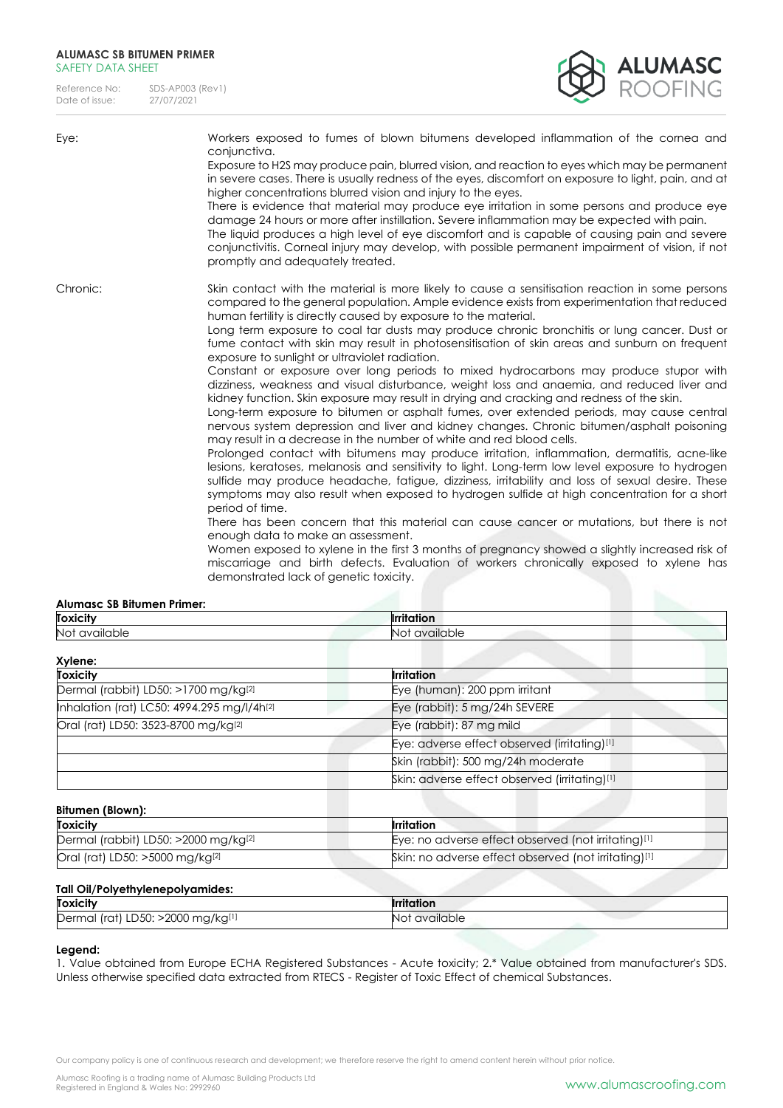Reference No: SDS-AP003 (Rev1)<br>Date of issue: 27/07/2021 Date of issue:

conjunctiva.



promptly and adequately treated. Chronic: Skin contact with the material is more likely to cause a sensitisation reaction in some persons compared to the general population. Ample evidence exists from experimentation that reduced human fertility is directly caused by exposure to the material.

Exposure to H2S may produce pain, blurred vision, and reaction to eyes which may be permanent in severe cases. There is usually redness of the eyes, discomfort on exposure to light, pain, and at

There is evidence that material may produce eye irritation in some persons and produce eye damage 24 hours or more after instillation. Severe inflammation may be expected with pain. The liquid produces a high level of eye discomfort and is capable of causing pain and severe conjunctivitis. Corneal injury may develop, with possible permanent impairment of vision, if not

Eye: Workers exposed to fumes of blown bitumens developed inflammation of the cornea and

higher concentrations blurred vision and injury to the eyes.

Long term exposure to coal tar dusts may produce chronic bronchitis or lung cancer. Dust or fume contact with skin may result in photosensitisation of skin areas and sunburn on frequent exposure to sunlight or ultraviolet radiation.

Constant or exposure over long periods to mixed hydrocarbons may produce stupor with dizziness, weakness and visual disturbance, weight loss and anaemia, and reduced liver and kidney function. Skin exposure may result in drying and cracking and redness of the skin.

Long-term exposure to bitumen or asphalt fumes, over extended periods, may cause central nervous system depression and liver and kidney changes. Chronic bitumen/asphalt poisoning may result in a decrease in the number of white and red blood cells.

Prolonged contact with bitumens may produce irritation, inflammation, dermatitis, acne-like lesions, keratoses, melanosis and sensitivity to light. Long-term low level exposure to hydrogen sulfide may produce headache, fatigue, dizziness, irritability and loss of sexual desire. These symptoms may also result when exposed to hydrogen sulfide at high concentration for a short period of time.

There has been concern that this material can cause cancer or mutations, but there is not enough data to make an assessment.

Women exposed to xylene in the first 3 months of pregnancy showed a slightly increased risk of miscarriage and birth defects. Evaluation of workers chronically exposed to xylene has demonstrated lack of genetic toxicity.

# **Alumasc SB Bitumen Primer:**

| <b>Toxicity</b>                            | <b>Irritation</b>                             |
|--------------------------------------------|-----------------------------------------------|
| Not available                              | Not available                                 |
| Xylene:                                    |                                               |
| <b>Toxicity</b>                            | <b>Irritation</b>                             |
| Dermal (rabbit) LD50: >1700 mg/kg[2]       | Eye (human): 200 ppm irritant                 |
| Inhalation (rat) LC50: 4994.295 mg/l/4h[2] | Eye (rabbit): 5 mg/24h SEVERE                 |
| Oral (rat) LD50: 3523-8700 mg/kg[2]        | Eye (rabbit): 87 mg mild                      |
|                                            | Eye: adverse effect observed (irritating)[1]  |
|                                            | Skin (rabbit): 500 mg/24h moderate            |
|                                            | Skin: adverse effect observed (irritating)[1] |
|                                            |                                               |
| Bitumen (Blown):                           |                                               |

| <b>Toxicity</b>                                  | <b>Irritation</b>                                    |
|--------------------------------------------------|------------------------------------------------------|
| Dermal (rabbit) LD50: >2000 mg/kg <sup>[2]</sup> | Eye: no adverse effect observed (not irritating)[1]  |
| Oral (rat) LD50: >5000 mg/kg <sup>[2]</sup>      | Skin: no adverse effect observed (not irritating)[1] |

### **Tall Oil/Polyethylenepolyamides:**

| <b>Toxicity</b>                                          | .<br>.<br>rıtatıon |
|----------------------------------------------------------|--------------------|
| $-2000$<br>mg/kg[1]<br>Dern<br>LD50:<br>Irat<br>۱ س<br>. | available<br>N     |

#### **Legend:**

1. Value obtained from Europe ECHA Registered Substances - Acute toxicity; 2.\* Value obtained from manufacturer's SDS. Unless otherwise specified data extracted from RTECS - Register of Toxic Effect of chemical Substances.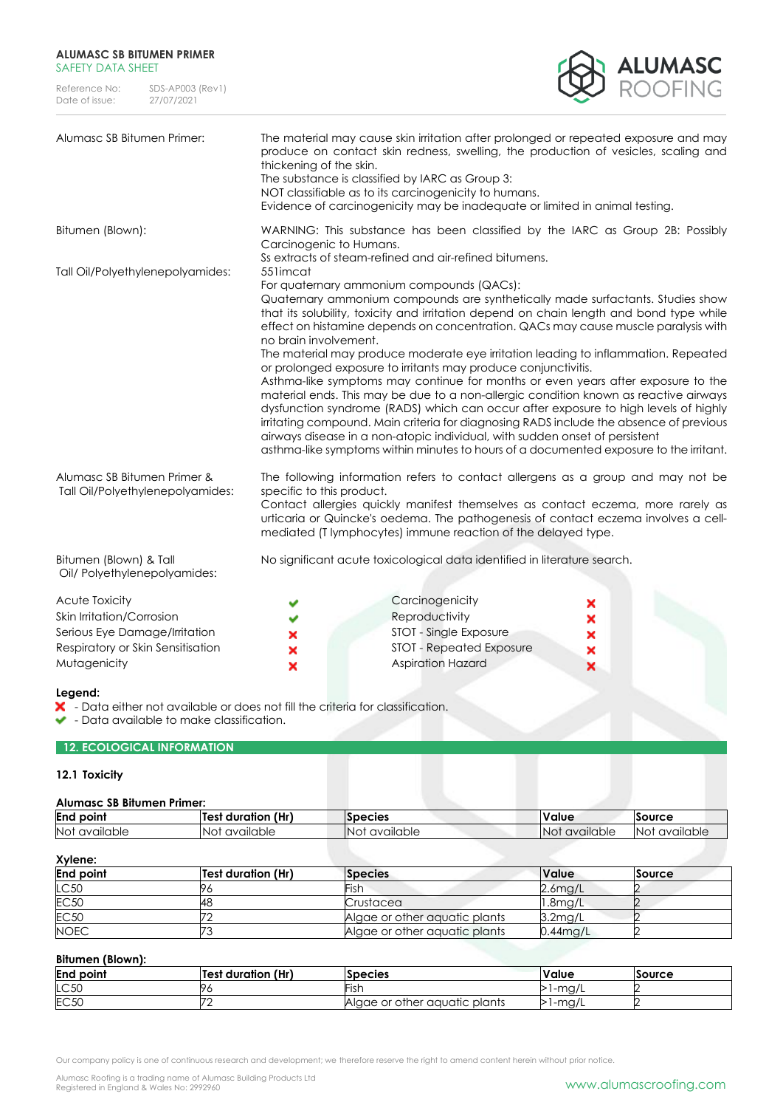| Reference No:  | SDS-AP003 (Rev1) |
|----------------|------------------|
| Date of issue: | 27/07/2021       |



| Alumasc SB Bitumen Primer:                                                                                                        | thickening of the skin.            | The material may cause skin irritation after prolonged or repeated exposure and may<br>produce on contact skin redness, swelling, the production of vesicles, scaling and<br>The substance is classified by IARC as Group 3:<br>NOT classifiable as to its carcinogenicity to humans.<br>Evidence of carcinogenicity may be inadequate or limited in animal testing.                                                                                                                                                                                                                                                                                                                                                                                                                                                                                                                                                                                                                                                                                                 |                       |
|-----------------------------------------------------------------------------------------------------------------------------------|------------------------------------|----------------------------------------------------------------------------------------------------------------------------------------------------------------------------------------------------------------------------------------------------------------------------------------------------------------------------------------------------------------------------------------------------------------------------------------------------------------------------------------------------------------------------------------------------------------------------------------------------------------------------------------------------------------------------------------------------------------------------------------------------------------------------------------------------------------------------------------------------------------------------------------------------------------------------------------------------------------------------------------------------------------------------------------------------------------------|-----------------------|
| Bitumen (Blown):                                                                                                                  | Carcinogenic to Humans.            | WARNING: This substance has been classified by the IARC as Group 2B: Possibly                                                                                                                                                                                                                                                                                                                                                                                                                                                                                                                                                                                                                                                                                                                                                                                                                                                                                                                                                                                        |                       |
| Tall Oil/Polyethylenepolyamides:                                                                                                  | 551 imcat<br>no brain involvement. | Ss extracts of steam-refined and air-refined bitumens.<br>For quaternary ammonium compounds (QACs):<br>Quaternary ammonium compounds are synthetically made surfactants. Studies show<br>that its solubility, toxicity and irritation depend on chain length and bond type while<br>effect on histamine depends on concentration. QACs may cause muscle paralysis with<br>The material may produce moderate eye irritation leading to inflammation. Repeated<br>or prolonged exposure to irritants may produce conjunctivitis.<br>Asthma-like symptoms may continue for months or even years after exposure to the<br>material ends. This may be due to a non-allergic condition known as reactive airways<br>dysfunction syndrome (RADS) which can occur after exposure to high levels of highly<br>irritating compound. Main criteria for diagnosing RADS include the absence of previous<br>airways disease in a non-atopic individual, with sudden onset of persistent<br>asthma-like symptoms within minutes to hours of a documented exposure to the irritant. |                       |
| Alumasc SB Bitumen Primer &<br>Tall Oil/Polyethylenepolyamides:                                                                   | specific to this product.          | The following information refers to contact allergens as a group and may not be<br>Contact allergies quickly manifest themselves as contact eczema, more rarely as<br>urticaria or Quincke's oedema. The pathogenesis of contact eczema involves a cell-<br>mediated (T lymphocytes) immune reaction of the delayed type.                                                                                                                                                                                                                                                                                                                                                                                                                                                                                                                                                                                                                                                                                                                                            |                       |
| Bitumen (Blown) & Tall<br>Oil/ Polyethylenepolyamides:                                                                            |                                    | No significant acute toxicological data identified in literature search.                                                                                                                                                                                                                                                                                                                                                                                                                                                                                                                                                                                                                                                                                                                                                                                                                                                                                                                                                                                             |                       |
| Acute Toxicity<br>Skin Irritation/Corrosion<br>Serious Eye Damage/Irritation<br>Respiratory or Skin Sensitisation<br>Mutagenicity | ×<br>×                             | Carcinogenicity<br>Reproductivity<br>STOT - Single Exposure<br><b>STOT - Repeated Exposure</b><br><b>Aspiration Hazard</b>                                                                                                                                                                                                                                                                                                                                                                                                                                                                                                                                                                                                                                                                                                                                                                                                                                                                                                                                           | ×<br>×<br>×<br>×<br>× |

# **Legend:**

- Data either not available or does not fill the criteria for classification.

v - Data available to make classification.

# **12. ECOLOGICAL INFORMATION**

# **12.1 Toxicity**

#### **Alumasc SB Bitumen Primer:**

| End<br>point     | (Hr)<br>' duration :<br>Test | <b>Species</b>   | . .<br>Value            | <b>Source</b>           |  |
|------------------|------------------------------|------------------|-------------------------|-------------------------|--|
| Not<br>available | NO1<br>available             | available<br>NO. | <b>Not</b><br>available | <b>Not</b><br>available |  |

# **Xylene:**

| 11.11.71.        |                           |                               |                     |        |
|------------------|---------------------------|-------------------------------|---------------------|--------|
| <b>End point</b> | <b>Test duration (Hr)</b> | <b>Species</b>                | <b>Value</b>        | Source |
| LC50             |                           | Fish                          | $2.6$ mg/L          |        |
| <b>EC50</b>      | 48                        | Crustacea                     | 1.8 <sub>mq/L</sub> |        |
| <b>EC50</b>      |                           | Algae or other aquatic plants | $3.2$ mg/L          |        |
| <b>NOEC</b>      |                           | Algae or other aquatic plants | $0.44$ mg/L         |        |

# **Bitumen (Blown):**

| <b>End point</b> | duration (Hr)<br>l Test | <b>Species</b>                | Value                  | Source |
|------------------|-------------------------|-------------------------------|------------------------|--------|
| LC50             |                         | . .                           | m <sub>2</sub><br>11QI |        |
| <b>EC50</b>      | ٣c                      | Algae or other aquatic plants | -mg/                   |        |

Our company policy is one of continuous research and development; we therefore reserve the right to amend content herein without prior notice.

Alumasc Roofing is a trading name of Alumasc Building Products Ltd<br>Registered in England & Wales No: 2992960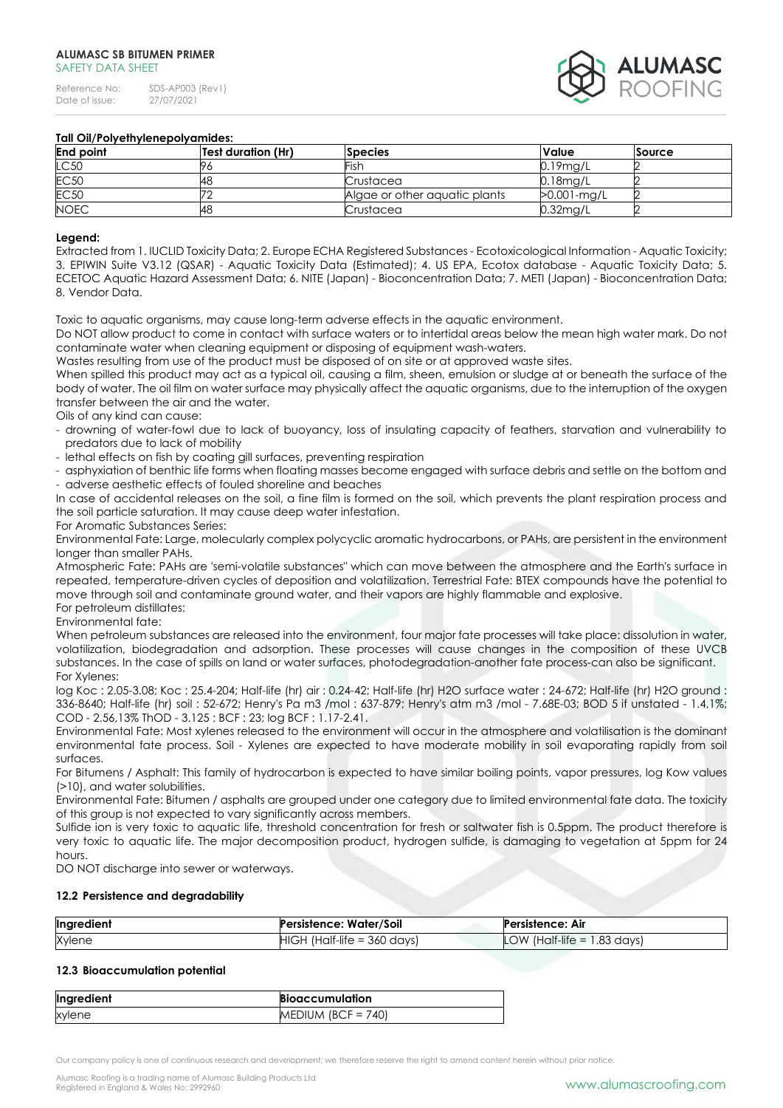

# **Tall Oil/Polyethylenepolyamides:**

| <b>End point</b> | Test duration (Hr) | <b>Species</b>                | <b>Value</b>   | Source |
|------------------|--------------------|-------------------------------|----------------|--------|
| LC50             |                    | <b>Fish</b>                   | $0.19$ mg/L    |        |
| <b>EC50</b>      | 148                | Crustacea                     | $0.18$ mg/L    |        |
| <b>EC50</b>      |                    | Algae or other aquatic plants | $>0.001$ -mg/L |        |
| <b>NOEC</b>      | 148                | Crustacea                     | 0.32mg/L       |        |

#### **Legend:**

Extracted from 1. IUCLID Toxicity Data; 2. Europe ECHA Registered Substances - Ecotoxicological Information - Aquatic Toxicity; 3. EPIWIN Suite V3.12 (QSAR) - Aquatic Toxicity Data (Estimated); 4. US EPA, Ecotox database - Aquatic Toxicity Data; 5. ECETOC Aquatic Hazard Assessment Data; 6. NITE (Japan) - Bioconcentration Data; 7. METI (Japan) - Bioconcentration Data; 8. Vendor Data.

Toxic to aquatic organisms, may cause long-term adverse effects in the aquatic environment.

Do NOT allow product to come in contact with surface waters or to intertidal areas below the mean high water mark. Do not contaminate water when cleaning equipment or disposing of equipment wash-waters.

Wastes resulting from use of the product must be disposed of on site or at approved waste sites.

When spilled this product may act as a typical oil, causing a film, sheen, emulsion or sludge at or beneath the surface of the body of water. The oil film on water surface may physically affect the aquatic organisms, due to the interruption of the oxygen transfer between the air and the water.

#### Oils of any kind can cause:

- drowning of water-fowl due to lack of buoyancy, loss of insulating capacity of feathers, starvation and vulnerability to predators due to lack of mobility
- lethal effects on fish by coating gill surfaces, preventing respiration
- asphyxiation of benthic life forms when floating masses become engaged with surface debris and settle on the bottom and - adverse aesthetic effects of fouled shoreline and beaches

In case of accidental releases on the soil, a fine film is formed on the soil, which prevents the plant respiration process and the soil particle saturation. It may cause deep water infestation.

# For Aromatic Substances Series:

Environmental Fate: Large, molecularly complex polycyclic aromatic hydrocarbons, or PAHs, are persistent in the environment longer than smaller PAHs.

Atmospheric Fate: PAHs are 'semi-volatile substances" which can move between the atmosphere and the Earth's surface in repeated, temperature-driven cycles of deposition and volatilization. Terrestrial Fate: BTEX compounds have the potential to move through soil and contaminate ground water, and their vapors are highly flammable and explosive. For petroleum distillates:

Environmental fate:

When petroleum substances are released into the environment, four major fate processes will take place: dissolution in water, volatilization, biodegradation and adsorption. These processes will cause changes in the composition of these UVCB substances. In the case of spills on land or water surfaces, photodegradation-another fate process-can also be significant. For Xylenes:

log Koc : 2.05-3.08; Koc : 25.4-204; Half-life (hr) air : 0.24-42; Half-life (hr) H2O surface water : 24-672; Half-life (hr) H2O ground : 336-8640; Half-life (hr) soil : 52-672; Henry's Pa m3 /mol : 637-879; Henry's atm m3 /mol - 7.68E-03; BOD 5 if unstated - 1.4,1%; COD - 2.56,13% ThOD - 3.125 : BCF : 23; log BCF : 1.17-2.41.

Environmental Fate: Most xylenes released to the environment will occur in the atmosphere and volatilisation is the dominant environmental fate process. Soil - Xylenes are expected to have moderate mobility in soil evaporating rapidly from soil surfaces.

For Bitumens / Asphalt: This family of hydrocarbon is expected to have similar boiling points, vapor pressures, log Kow values (>10), and water solubilities.

Environmental Fate: Bitumen / asphalts are grouped under one category due to limited environmental fate data. The toxicity of this group is not expected to vary significantly across members.

Sulfide ion is very toxic to aquatic life, threshold concentration for fresh or saltwater fish is 0.5ppm. The product therefore is very toxic to aquatic life. The major decomposition product, hydrogen sulfide, is damaging to vegetation at 5ppm for 24 hours.

DO NOT discharge into sewer or waterways.

#### **12.2 Persistence and degradability**

| Ingredient | Persistence: Water/Soil       | Persistence: Air              |
|------------|-------------------------------|-------------------------------|
| Xylene     | $HIGH$ (Half-life = 360 days) | LOW (Half-life $= 1.83$ days) |

### **12.3 Bioaccumulation potential**

| Ingredient | <b>Bioaccumulation</b> |
|------------|------------------------|
| xylene     | MEDIUM (BCF = $740$ )  |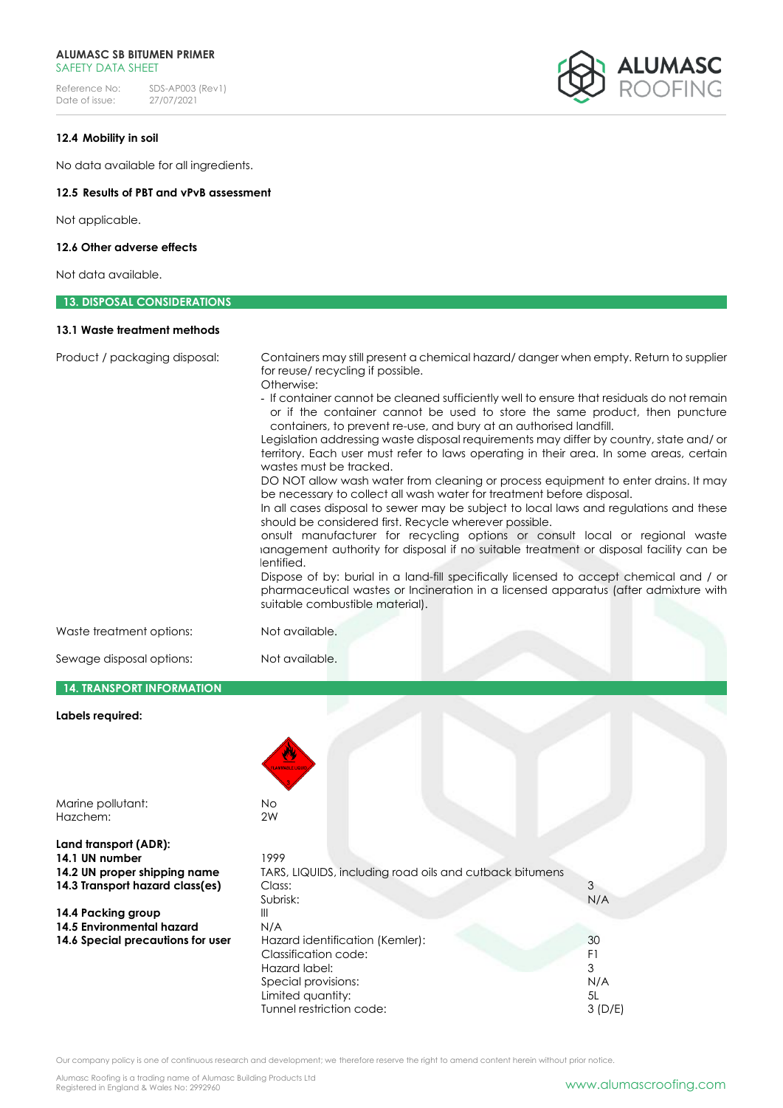Reference No: SDS-AP003 (Rev1)<br>Date of issue: 27/07/2021 Date of issue:



# **12.4 Mobility in soil**

No data available for all ingredients.

# **12.5 Results of PBT and vPvB assessment**

Not applicable.

#### **12.6 Other adverse effects**

Not data available.

# **13. DISPOSAL CONSIDERATIONS**

### **13.1 Waste treatment methods**

| Product / packaging disposal:     | Containers may still present a chemical hazard/danger when empty. Return to supplier                                                                                                                                                                                                                                                                                                                                                                                                                                                                                                                                                                                                                                                                                                                                                                                                                                                                                                                                                                                                                                                                       |     |
|-----------------------------------|------------------------------------------------------------------------------------------------------------------------------------------------------------------------------------------------------------------------------------------------------------------------------------------------------------------------------------------------------------------------------------------------------------------------------------------------------------------------------------------------------------------------------------------------------------------------------------------------------------------------------------------------------------------------------------------------------------------------------------------------------------------------------------------------------------------------------------------------------------------------------------------------------------------------------------------------------------------------------------------------------------------------------------------------------------------------------------------------------------------------------------------------------------|-----|
|                                   | for reuse/ recycling if possible.<br>Otherwise:                                                                                                                                                                                                                                                                                                                                                                                                                                                                                                                                                                                                                                                                                                                                                                                                                                                                                                                                                                                                                                                                                                            |     |
|                                   | - If container cannot be cleaned sufficiently well to ensure that residuals do not remain<br>or if the container cannot be used to store the same product, then puncture<br>containers, to prevent re-use, and bury at an authorised landfill.<br>Legislation addressing waste disposal requirements may differ by country, state and/ or<br>territory. Each user must refer to laws operating in their area. In some areas, certain<br>wastes must be tracked.<br>DO NOT allow wash water from cleaning or process equipment to enter drains. It may<br>be necessary to collect all wash water for treatment before disposal.<br>In all cases disposal to sewer may be subject to local laws and regulations and these<br>should be considered first. Recycle wherever possible.<br>onsult manufacturer for recycling options or consult local or regional waste<br>ianagement authority for disposal if no suitable treatment or disposal facility can be<br>lentified.<br>Dispose of by: burial in a land-fill specifically licensed to accept chemical and / or<br>pharmaceutical wastes or Incineration in a licensed apparatus (after admixture with |     |
|                                   | suitable combustible material).                                                                                                                                                                                                                                                                                                                                                                                                                                                                                                                                                                                                                                                                                                                                                                                                                                                                                                                                                                                                                                                                                                                            |     |
| Waste treatment options:          | Not available.                                                                                                                                                                                                                                                                                                                                                                                                                                                                                                                                                                                                                                                                                                                                                                                                                                                                                                                                                                                                                                                                                                                                             |     |
| Sewage disposal options:          | Not available.                                                                                                                                                                                                                                                                                                                                                                                                                                                                                                                                                                                                                                                                                                                                                                                                                                                                                                                                                                                                                                                                                                                                             |     |
| <b>14. TRANSPORT INFORMATION</b>  |                                                                                                                                                                                                                                                                                                                                                                                                                                                                                                                                                                                                                                                                                                                                                                                                                                                                                                                                                                                                                                                                                                                                                            |     |
| Labels required:                  |                                                                                                                                                                                                                                                                                                                                                                                                                                                                                                                                                                                                                                                                                                                                                                                                                                                                                                                                                                                                                                                                                                                                                            |     |
|                                   |                                                                                                                                                                                                                                                                                                                                                                                                                                                                                                                                                                                                                                                                                                                                                                                                                                                                                                                                                                                                                                                                                                                                                            |     |
| Marine pollutant:                 | No                                                                                                                                                                                                                                                                                                                                                                                                                                                                                                                                                                                                                                                                                                                                                                                                                                                                                                                                                                                                                                                                                                                                                         |     |
| Hazchem:                          | 2W                                                                                                                                                                                                                                                                                                                                                                                                                                                                                                                                                                                                                                                                                                                                                                                                                                                                                                                                                                                                                                                                                                                                                         |     |
| Land transport (ADR):             |                                                                                                                                                                                                                                                                                                                                                                                                                                                                                                                                                                                                                                                                                                                                                                                                                                                                                                                                                                                                                                                                                                                                                            |     |
| 14.1 UN number                    | 1999                                                                                                                                                                                                                                                                                                                                                                                                                                                                                                                                                                                                                                                                                                                                                                                                                                                                                                                                                                                                                                                                                                                                                       |     |
| 14.2 UN proper shipping name      | TARS, LIQUIDS, including road oils and cutback bitumens                                                                                                                                                                                                                                                                                                                                                                                                                                                                                                                                                                                                                                                                                                                                                                                                                                                                                                                                                                                                                                                                                                    |     |
| 14.3 Transport hazard class(es)   | Class:                                                                                                                                                                                                                                                                                                                                                                                                                                                                                                                                                                                                                                                                                                                                                                                                                                                                                                                                                                                                                                                                                                                                                     | 3   |
|                                   | Subrisk:                                                                                                                                                                                                                                                                                                                                                                                                                                                                                                                                                                                                                                                                                                                                                                                                                                                                                                                                                                                                                                                                                                                                                   | N/A |
| 14.4 Packing group                | $\mathop{\rm III}$                                                                                                                                                                                                                                                                                                                                                                                                                                                                                                                                                                                                                                                                                                                                                                                                                                                                                                                                                                                                                                                                                                                                         |     |
| <b>14.5 Environmental hazard</b>  | N/A                                                                                                                                                                                                                                                                                                                                                                                                                                                                                                                                                                                                                                                                                                                                                                                                                                                                                                                                                                                                                                                                                                                                                        |     |
| 14.6 Special precautions for user | Hazard identification (Kemler):                                                                                                                                                                                                                                                                                                                                                                                                                                                                                                                                                                                                                                                                                                                                                                                                                                                                                                                                                                                                                                                                                                                            | 30  |
|                                   | Classification code:                                                                                                                                                                                                                                                                                                                                                                                                                                                                                                                                                                                                                                                                                                                                                                                                                                                                                                                                                                                                                                                                                                                                       | F1  |
|                                   | Hazard label:                                                                                                                                                                                                                                                                                                                                                                                                                                                                                                                                                                                                                                                                                                                                                                                                                                                                                                                                                                                                                                                                                                                                              | 3   |

Special provisions: N/A Limited quantity: 5L Tunnel restriction code: 3 (D/E)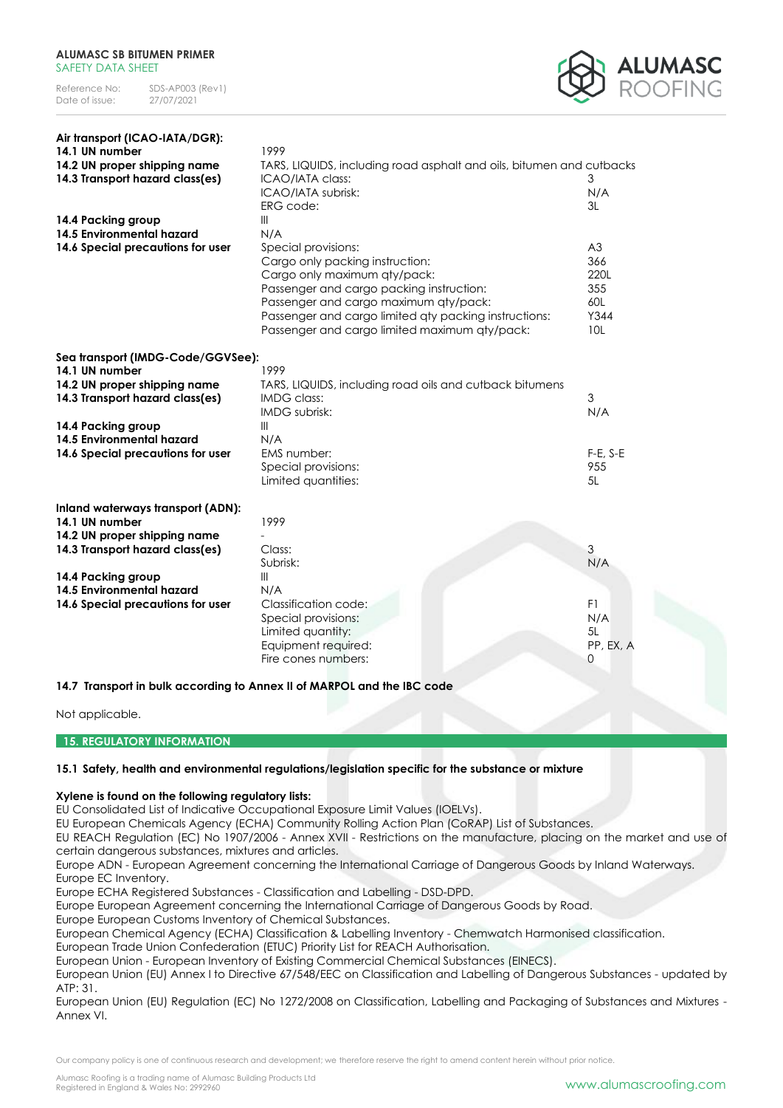

| Air transport (ICAO-IATA/DGR):           |                                                                      |            |
|------------------------------------------|----------------------------------------------------------------------|------------|
| 14.1 UN number                           | 1999                                                                 |            |
| 14.2 UN proper shipping name             | TARS, LIQUIDS, including road asphalt and oils, bitumen and cutbacks |            |
| 14.3 Transport hazard class(es)          | ICAO/IATA class:                                                     | 3          |
|                                          | ICAO/IATA subrisk:                                                   | N/A        |
|                                          | ERG code:                                                            | 3L         |
| 14.4 Packing group                       | $\mathbb{H}$                                                         |            |
| 14.5 Environmental hazard                | N/A                                                                  |            |
| 14.6 Special precautions for user        | Special provisions:                                                  | A3         |
|                                          | Cargo only packing instruction:                                      | 366        |
|                                          | Cargo only maximum qty/pack:                                         | 220L       |
|                                          | Passenger and cargo packing instruction:                             | 355        |
|                                          | Passenger and cargo maximum qty/pack:                                | 60L        |
|                                          | Passenger and cargo limited aty packing instructions:                | Y344       |
|                                          | Passenger and cargo limited maximum qty/pack:                        | 10L        |
| Sea transport (IMDG-Code/GGVSee):        |                                                                      |            |
| 14.1 UN number                           | 1999                                                                 |            |
| 14.2 UN proper shipping name             | TARS, LIQUIDS, including road oils and cutback bitumens              |            |
| 14.3 Transport hazard class(es)          | <b>IMDG class:</b>                                                   | 3          |
|                                          | <b>IMDG</b> subrisk:                                                 | N/A        |
| 14.4 Packing group                       | $\mathbb{H}$                                                         |            |
| 14.5 Environmental hazard                | N/A                                                                  |            |
| 14.6 Special precautions for user        | EMS number:                                                          | $F-E, S-E$ |
|                                          | Special provisions:                                                  | 955        |
|                                          | Limited quantities:                                                  | 5L         |
| <b>Inland waterways transport (ADN):</b> |                                                                      |            |
| 14.1 UN number                           | 1999                                                                 |            |
| 14.2 UN proper shipping name             |                                                                      |            |
| 14.3 Transport hazard class(es)          | Class:                                                               | 3          |
|                                          | Subrisk:                                                             | N/A        |
| 14.4 Packing group                       | Ш                                                                    |            |
| 14.5 Environmental hazard                | N/A                                                                  |            |
| 14.6 Special precautions for user        | Classification code:                                                 | F1         |
|                                          | Special provisions:                                                  | N/A        |
|                                          | Limited quantity:                                                    | 5L         |
|                                          | Equipment required:                                                  | PP, EX, A  |
|                                          | Fire cones numbers:                                                  | 0          |
| 1 7 T.                                   | $\sim$ 11 $\sim$ 5 and a DDAL $\sim$                                 |            |

**14.7 Transport in bulk according to Annex II of MARPOL and the IBC code**

# Not applicable.

**15. REGULATORY INFORMATION**

# **15.1 Safety, health and environmental regulations/legislation specific for the substance or mixture**

# **Xylene is found on the following regulatory lists:**

EU Consolidated List of Indicative Occupational Exposure Limit Values (IOELVs).

EU European Chemicals Agency (ECHA) Community Rolling Action Plan (CoRAP) List of Substances.

EU REACH Regulation (EC) No 1907/2006 - Annex XVII - Restrictions on the manufacture, placing on the market and use of certain dangerous substances, mixtures and articles.

Europe ADN - European Agreement concerning the International Carriage of Dangerous Goods by Inland Waterways. Europe EC Inventory.

Europe ECHA Registered Substances - Classification and Labelling - DSD-DPD.

Europe European Agreement concerning the International Carriage of Dangerous Goods by Road.

Europe European Customs Inventory of Chemical Substances.

European Chemical Agency (ECHA) Classification & Labelling Inventory - Chemwatch Harmonised classification.

European Trade Union Confederation (ETUC) Priority List for REACH Authorisation.

European Union - European Inventory of Existing Commercial Chemical Substances (EINECS).

European Union (EU) Annex I to Directive 67/548/EEC on Classification and Labelling of Dangerous Substances - updated by ATP: 31.

European Union (EU) Regulation (EC) No 1272/2008 on Classification, Labelling and Packaging of Substances and Mixtures - Annex VI.

Our company policy is one of continuous research and development; we therefore reserve the right to amend content herein without prior notice.

Alumasc Roofing is a trading name of Alumasc Building Products Ltd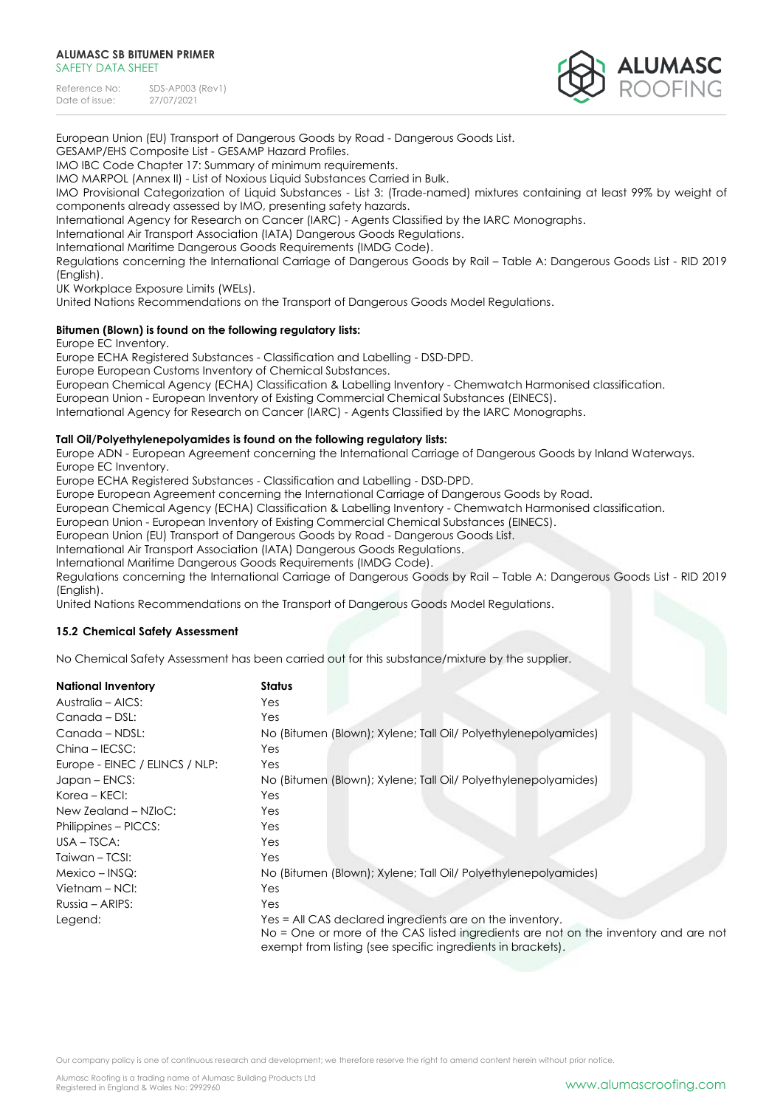

European Union (EU) Transport of Dangerous Goods by Road - Dangerous Goods List.

GESAMP/EHS Composite List - GESAMP Hazard Profiles.

IMO IBC Code Chapter 17: Summary of minimum requirements.

IMO MARPOL (Annex II) - List of Noxious Liquid Substances Carried in Bulk.

IMO Provisional Categorization of Liquid Substances - List 3: (Trade-named) mixtures containing at least 99% by weight of components already assessed by IMO, presenting safety hazards.

International Agency for Research on Cancer (IARC) - Agents Classified by the IARC Monographs.

International Air Transport Association (IATA) Dangerous Goods Regulations.

International Maritime Dangerous Goods Requirements (IMDG Code).

Regulations concerning the International Carriage of Dangerous Goods by Rail – Table A: Dangerous Goods List - RID 2019 (English).

UK Workplace Exposure Limits (WELs).

United Nations Recommendations on the Transport of Dangerous Goods Model Regulations.

# **Bitumen (Blown) is found on the following regulatory lists:**

Europe EC Inventory.

Europe ECHA Registered Substances - Classification and Labelling - DSD-DPD.

Europe European Customs Inventory of Chemical Substances.

European Chemical Agency (ECHA) Classification & Labelling Inventory - Chemwatch Harmonised classification.

European Union - European Inventory of Existing Commercial Chemical Substances (EINECS).

International Agency for Research on Cancer (IARC) - Agents Classified by the IARC Monographs.

# **Tall Oil/Polyethylenepolyamides is found on the following regulatory lists:**

Europe ADN - European Agreement concerning the International Carriage of Dangerous Goods by Inland Waterways.

Europe EC Inventory.

Europe ECHA Registered Substances - Classification and Labelling - DSD-DPD.

Europe European Agreement concerning the International Carriage of Dangerous Goods by Road.

European Chemical Agency (ECHA) Classification & Labelling Inventory - Chemwatch Harmonised classification.

European Union - European Inventory of Existing Commercial Chemical Substances (EINECS).

European Union (EU) Transport of Dangerous Goods by Road - Dangerous Goods List.

International Air Transport Association (IATA) Dangerous Goods Regulations.

International Maritime Dangerous Goods Requirements (IMDG Code).

Regulations concerning the International Carriage of Dangerous Goods by Rail – Table A: Dangerous Goods List - RID 2019 (English).

United Nations Recommendations on the Transport of Dangerous Goods Model Regulations.

# **15.2 Chemical Safety Assessment**

No Chemical Safety Assessment has been carried out for this substance/mixture by the supplier.

| <b>National Inventory</b>      | <b>Status</b>                                                                                                                                                                                                  |
|--------------------------------|----------------------------------------------------------------------------------------------------------------------------------------------------------------------------------------------------------------|
| Australia – AICS:              | Yes                                                                                                                                                                                                            |
| Canada - DSL:                  | Yes                                                                                                                                                                                                            |
| Canada - NDSL:                 | No (Bitumen (Blown); Xylene; Tall Oil/ Polyethylenepolyamides)                                                                                                                                                 |
| China - IECSC:                 | Yes                                                                                                                                                                                                            |
| Europe - EINEC / ELINCS / NLP: | Yes                                                                                                                                                                                                            |
| Japan – ENCS:                  | No (Bitumen (Blown); Xylene; Tall Oil/ Polyethylenepolyamides)                                                                                                                                                 |
| Korea – KECI:                  | Yes                                                                                                                                                                                                            |
| New Zealand - NZloC:           | Yes                                                                                                                                                                                                            |
| Philippines – PICCS:           | Yes:                                                                                                                                                                                                           |
| $USA - TSCA:$                  | Yes                                                                                                                                                                                                            |
| Taiwan – TCSI:                 | Yes                                                                                                                                                                                                            |
| $Mexico - INSQ:$               | No (Bitumen (Blown); Xylene; Tall Oil/ Polyethylenepolyamides)                                                                                                                                                 |
| Vietnam – NCI:                 | Yes                                                                                                                                                                                                            |
| Russia – ARIPS:                | Yes                                                                                                                                                                                                            |
| Legend:                        | Yes = All CAS declared ingredients are on the inventory.<br>No = One or more of the CAS listed ingredients are not on the inventory and are not<br>exempt from listing (see specific ingredients in brackets). |